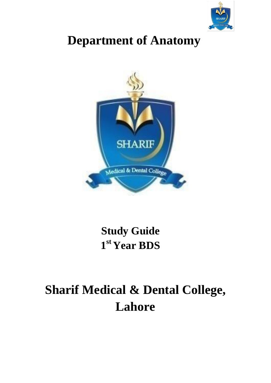

# **Department of Anatomy**



# **Study Guide 1 st Year BDS**

# **Sharif Medical & Dental College, Lahore**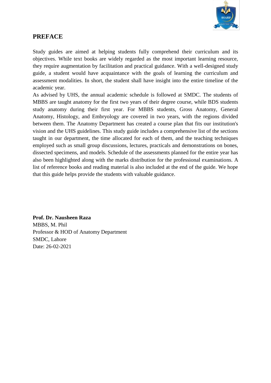

### **PREFACE**

Study guides are aimed at helping students fully comprehend their curriculum and its objectives. While text books are widely regarded as the most important learning resource, they require augmentation by facilitation and practical guidance. With a well-designed study guide, a student would have acquaintance with the goals of learning the curriculum and assessment modalities. In short, the student shall have insight into the entire timeline of the academic year.

As advised by UHS, the annual academic schedule is followed at SMDC. The students of MBBS are taught anatomy for the first two years of their degree course, while BDS students study anatomy during their first year. For MBBS students, Gross Anatomy, General Anatomy, Histology, and Embryology are covered in two years, with the regions divided between them. The Anatomy Department has created a course plan that fits our institution's vision and the UHS guidelines. This study guide includes a comprehensive list of the sections taught in our department, the time allocated for each of them, and the teaching techniques employed such as small group discussions, lectures, practicals and demonstrations on bones, dissected specimens, and models. Schedule of the assessments planned for the entire year has also been highlighted along with the marks distribution for the professional examinations. A list of reference books and reading material is also included at the end of the guide. We hope that this guide helps provide the students with valuable guidance.

**Prof. Dr. Nausheen Raza** MBBS, M. Phil Professor & HOD of Anatomy Department SMDC, Lahore Date: 26-02-2021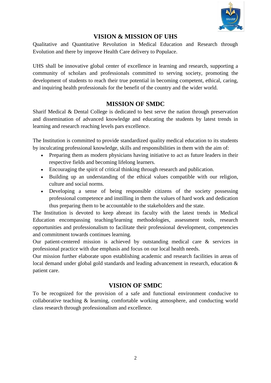

### **VISION & MISSION OF UHS**

Qualitative and Quantitative Revolution in Medical Education and Research through Evolution and there by improve Health Care delivery to Populace.

UHS shall be innovative global center of excellence in learning and research, supporting a community of scholars and professionals committed to serving society, promoting the development of students to reach their true potential in becoming competent, ethical, caring, and inquiring health professionals for the benefit of the country and the wider world.

### **MISSION OF SMDC**

Sharif Medical & Dental College is dedicated to best serve the nation through preservation and dissemination of advanced knowledge and educating the students by latest trends in learning and research reaching levels pars excellence.

The Institution is committed to provide standardized quality medical education to its students by inculcating professional knowledge, skills and responsibilities in them with the aim of:

- Preparing them as modern physicians having initiative to act as future leaders in their respective fields and becoming lifelong learners.
- Encouraging the spirit of critical thinking through research and publication.
- Building up an understanding of the ethical values compatible with our religion, culture and social norms.
- Developing a sense of being responsible citizens of the society possessing professional competence and instilling in them the values of hard work and dedication thus preparing them to be accountable to the stakeholders and the state.

The Institution is devoted to keep abreast its faculty with the latest trends in Medical Education encompassing teaching/learning methodologies, assessment tools, research opportunities and professionalism to facilitate their professional development, competencies and commitment towards continues learning.

Our patient-centered mission is achieved by outstanding medical care & services in professional practice with due emphasis and focus on our local health needs.

Our mission further elaborate upon establishing academic and research facilities in areas of local demand under global gold standards and leading advancement in research, education & patient care.

#### **VISION OF SMDC**

To be recognized for the provision of a safe and functional environment conducive to collaborative teaching & learning, comfortable working atmosphere, and conducting world class research through professionalism and excellence.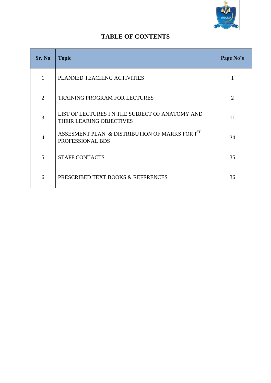

### **TABLE OF CONTENTS**

| Sr. No         | <b>Topic</b>                                                               | Page No's      |
|----------------|----------------------------------------------------------------------------|----------------|
| 1              | PLANNED TEACHING ACTIVITIES                                                |                |
| $\overline{2}$ | <b>TRAINING PROGRAM FOR LECTURES</b>                                       | $\overline{2}$ |
| 3              | LIST OF LECTURES IN THE SUBJECT OF ANATOMY AND<br>THEIR LEARING OBJECTIVES | 11             |
| 4              | ASSESMENT PLAN & DISTRIBUTION OF MARKS FOR IST<br>PROFESSIONAL BDS         | 34             |
| 5              | <b>STAFF CONTACTS</b>                                                      | 35             |
| 6              | PRESCRIBED TEXT BOOKS & REFERENCES                                         | 36             |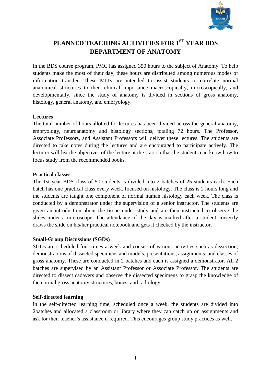

## **PLANNED TEACHING ACTIVITIES FOR 1ST YEAR BDS DEPARTMENT OF ANATOMY**

In the BDS course program, PMC has assigned 350 hours to the subject of Anatomy. To help students make the most of their day, these hours are distributed among numerous modes of information transfer. These MITs are intended to assist students to correlate normal anatomical structures to their clinical importance macroscopically, microscopically, and developmentally, since the study of anatomy is divided in sections of gross anatomy, histology, general anatomy, and embryology.

#### **Lectures**

The total number of hours allotted for lectures has been divided across the general anatomy, embryology, neuroanatomy and histology sections, totaling 72 hours. The Professor, Associate Professors, and Assistant Professors will deliver these lectures. The students are directed to take notes during the lectures and are encouraged to participate actively. The lecturer will list the objectives of the lecture at the start so that the students can know how to focus study from the recommended books.

#### **Practical classes**

The 1st year BDS class of 50 students is divided into 2 batches of 25 students each. Each batch has one practical class every week, focused on histology. The class is 2 hours long and the students are taught one component of normal human histology each week. The class is conducted by a demonstrator under the supervision of a senior instructor. The students are given an introduction about the tissue under study and are then instructed to observe the slides under a microscope. The attendance of the day is marked after a student correctly draws the slide on his/her practical notebook and gets it checked by the instructor.

#### **Small-Group Discussions (SGDs)**

SGDs are scheduled four times a week and consist of various activities such as dissection, demonstrations of dissected specimens and models, presentations, assignments, and classes of gross anatomy. These are conducted in 2 batches and each is assigned a demonstrator. All 2 batches are supervised by an Assistant Professor or Associate Professor. The students are directed to dissect cadavers and observe the dissected specimens to grasp the knowledge of the normal gross anatomy structures, bones, and radiology.

#### **Self-directed learning**

In the self-directed learning time, scheduled once a week, the students are divided into 2batches and allocated a classroom or library where they can catch up on assignments and ask for their teacher's assistance if required. This encourages group study practices as well.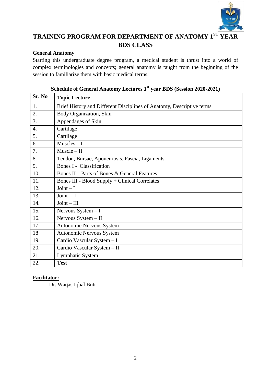

# **TRAINING PROGRAM FOR DEPARTMENT OF ANATOMY 1ST YEAR BDS CLASS**

### **General Anatomy**

Starting this undergraduate degree program, a medical student is thrust into a world of complex terminologies and concepts; general anatomy is taught from the beginning of the session to familiarize them with basic medical terms.

| Sr. No           | <b>Topic Lecture</b>                                                  |
|------------------|-----------------------------------------------------------------------|
| 1.               | Brief History and Different Disciplines of Anatomy, Descriptive terms |
| 2.               | Body Organization, Skin                                               |
| 3.               | Appendages of Skin                                                    |
| $\overline{4}$ . | Cartilage                                                             |
| 5.               | Cartilage                                                             |
| 6.               | $Muscles-I$                                                           |
| 7.               | Muscle – II                                                           |
| 8.               | Tendon, Bursae, Aponeurosis, Fascia, Ligaments                        |
| 9.               | <b>Bones I - Classification</b>                                       |
| 10.              | Bones II – Parts of Bones & General Features                          |
| 11.              | <b>Bones III - Blood Supply + Clinical Correlates</b>                 |
| 12.              | $Joint - I$                                                           |
| 13.              | $Joint - II$                                                          |
| 14.              | $Joint - III$                                                         |
| 15.              | Nervous $System - I$                                                  |
| 16.              | Nervous System - II                                                   |
| 17.              | <b>Autonomic Nervous System</b>                                       |
| 18               | Autonomic Nervous System                                              |
| 19.              | Cardio Vascular System - I                                            |
| 20.              | Cardio Vascular System - II                                           |
| 21.              | <b>Lymphatic System</b>                                               |
| 22.              | <b>Test</b>                                                           |

### **Schedule of General Anatomy Lectures 1st year BDS (Session 2020-2021)**

#### **Facilitator:**

Dr. Waqas Iqbal Butt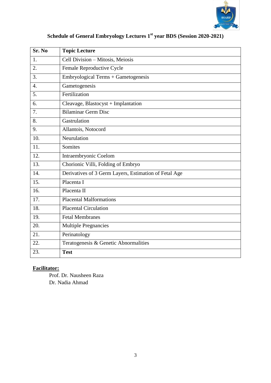

| Sr. No           | <b>Topic Lecture</b>                                  |
|------------------|-------------------------------------------------------|
| 1.               | Cell Division - Mitosis, Meiosis                      |
| 2.               | Female Reproductive Cycle                             |
| 3.               | Embryological Terms + Gametogenesis                   |
| $\overline{4}$ . | Gametogenesis                                         |
| 5.               | Fertilization                                         |
| 6.               | Cleavage, Blastocyst + Implantation                   |
| 7.               | <b>Bilaminar Germ Disc</b>                            |
| 8.               | Gastrulation                                          |
| 9.               | Allantois, Notocord                                   |
| 10.              | Neurulation                                           |
| 11.              | Somites                                               |
| 12.              | Intraembryonic Coelom                                 |
| 13.              | Chorionic Villi, Folding of Embryo                    |
| 14.              | Derivatives of 3 Germ Layers, Estimation of Fetal Age |
| 15.              | Placenta I                                            |
| 16.              | Placenta II                                           |
| 17.              | <b>Placental Malformations</b>                        |
| 18.              | <b>Placental Circulation</b>                          |
| 19.              | <b>Fetal Membranes</b>                                |
| 20.              | <b>Multiple Pregnancies</b>                           |
| 21.              | Perinatology                                          |
| 22.              | Teratogenesis & Genetic Abnormalities                 |
| 23.              | <b>Test</b>                                           |

# **Schedule of General Embryology Lectures 1st year BDS (Session 2020-2021)**

### **Facilitator:**

Prof. Dr. Nausheen Raza Dr. Nadia Ahmad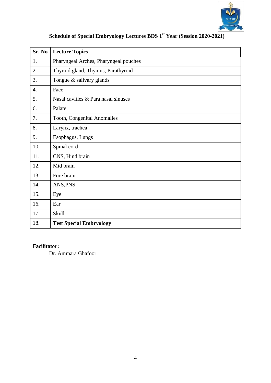

| Sr. No           | <b>Lecture Topics</b>                 |
|------------------|---------------------------------------|
| 1.               | Pharyngeal Arches, Pharyngeal pouches |
| 2.               | Thyroid gland, Thymus, Parathyroid    |
| 3.               | Tongue & salivary glands              |
| $\overline{4}$ . | Face                                  |
| 5.               | Nasal cavities & Para nasal sinuses   |
| 6.               | Palate                                |
| 7.               | Tooth, Congenital Anomalies           |
| 8.               | Larynx, trachea                       |
| 9.               | Esophagus, Lungs                      |
| 10.              | Spinal cord                           |
| 11.              | CNS, Hind brain                       |
| 12.              | Mid brain                             |
| 13.              | Fore brain                            |
| 14.              | ANS, PNS                              |
| 15.              | Eye                                   |
| 16.              | Ear                                   |
| 17.              | <b>Skull</b>                          |
| 18.              | <b>Test Special Embryology</b>        |

# **Schedule of Special Embryology Lectures BDS 1st Year (Session 2020-2021)**

### **Facilitator:**

Dr. Ammara Ghafoor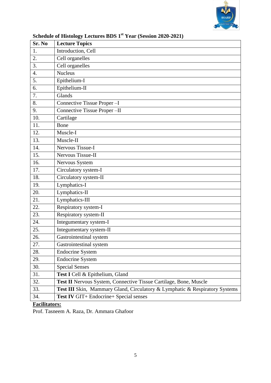

| Sr. No           | <b>Lecture Topics</b>                                                       |
|------------------|-----------------------------------------------------------------------------|
| 1.               | Introduction, Cell                                                          |
| 2.               | Cell organelles                                                             |
| 3.               | Cell organelles                                                             |
| $\overline{4}$ . | <b>Nucleus</b>                                                              |
| 5.               | Epithelium-I                                                                |
| 6.               | Epithelium-II                                                               |
| 7.               | Glands                                                                      |
| 8.               | Connective Tissue Proper-I                                                  |
| 9.               | Connective Tissue Proper-II                                                 |
| 10.              | Cartilage                                                                   |
| 11.              | Bone                                                                        |
| 12.              | Muscle-I                                                                    |
| 13.              | Muscle-II                                                                   |
| 14.              | Nervous Tissue-I                                                            |
| 15.              | Nervous Tissue-II                                                           |
| 16.              | Nervous System                                                              |
| 17.              | Circulatory system-I                                                        |
| 18.              | Circulatory system-II                                                       |
| 19.              | Lymphatics-I                                                                |
| 20.              | Lymphatics-II                                                               |
| 21.              | Lymphatics- $\overline{III}$                                                |
| 22.              | Respiratory system-I                                                        |
| 23.              | Respiratory system-II                                                       |
| 24.              | Integumentary system-I                                                      |
| 25.              | Integumentary system-II                                                     |
| 26.              | Gastrointestinal system                                                     |
| 27.              | Gastrointestinal system                                                     |
| 28.              | <b>Endocrine System</b>                                                     |
| 29.              | <b>Endocrine System</b>                                                     |
| 30.              | <b>Special Senses</b>                                                       |
| 31.              | Test I Cell & Epithelium, Gland                                             |
| 32.              | Test II Nervous System, Connective Tissue Cartilage, Bone, Muscle           |
| 33.              | Test III Skin, Mammary Gland, Circulatory & Lymphatic & Respiratory Systems |
| 34.              | Test IV GIT+ Endocrine+ Special senses                                      |

# **Schedule of Histology Lectures BDS 1st Year (Session 2020-2021)**

# **Facilitators:**

Prof. Tasneem A. Raza, Dr. Ammara Ghafoor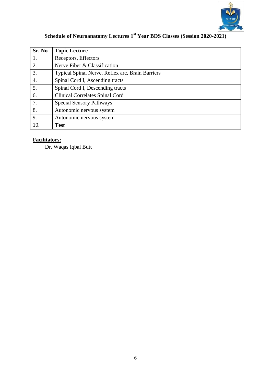

# **Schedule of Neuroanatomy Lectures 1st Year BDS Classes (Session 2020-2021)**

| Sr. No | <b>Topic Lecture</b>                             |
|--------|--------------------------------------------------|
|        | Receptors, Effectors                             |
| 2.     | Nerve Fiber & Classification                     |
| 3.     | Typical Spinal Nerve, Reflex arc, Brain Barriers |
| 4.     | Spinal Cord I, Ascending tracts                  |
| 5.     | Spinal Cord I, Descending tracts                 |
| 6.     | <b>Clinical Correlates Spinal Cord</b>           |
| 7.     | <b>Special Sensory Pathways</b>                  |
| 8.     | Autonomic nervous system                         |
| 9.     | Autonomic nervous system                         |
| 10.    | <b>Test</b>                                      |

# **Facilitators:**

Dr. Waqas Iqbal Butt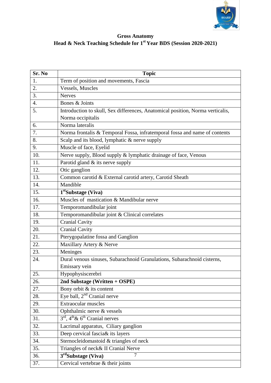

#### **Gross Anatomy Head & Neck Teaching Schedule for 1st Year BDS (Session 2020-2021)**

| Sr. No            | <b>Topic</b>                                                                   |
|-------------------|--------------------------------------------------------------------------------|
| 1.                | Term of position and movements, Fascia                                         |
| 2.                | Vessels, Muscles                                                               |
| 3.                | <b>Nerves</b>                                                                  |
| 4.                | Bones & Joints                                                                 |
| 5.                | Introduction to skull, Sex differences, Anatomical position, Norma verticalis, |
|                   | Norma occipitalis                                                              |
| 6.                | Norma lateralis                                                                |
| 7.                | Norma frontalis & Temporal Fossa, infratemporal fossa and name of contents     |
| 8.                | Scalp and its blood, lymphatic & nerve supply                                  |
| 9.                | Muscle of face, Eyelid                                                         |
| 10.               | Nerve supply, Blood supply & lymphatic drainage of face, Venous                |
| 11.               | Parotid gland & its nerve supply                                               |
| 12.               | Otic ganglion                                                                  |
| 13.               | Common carotid & External carotid artery, Carotid Sheath                       |
| 14.               | Mandible                                                                       |
| 15.               | 1 <sup>st</sup> Substage (Viva)                                                |
| 16.               | Muscles of mastication & Mandibular nerve                                      |
| 17.               | Temporomandibular joint                                                        |
| 18.               | Temporomandibular joint & Clinical correlates                                  |
| 19.               | <b>Cranial Cavity</b>                                                          |
| 20.               | <b>Cranial Cavity</b>                                                          |
| 21.               | Pterygopalatine fossa and Ganglion                                             |
| 22.               | Maxillary Artery & Nerve                                                       |
| 23.               | Meninges                                                                       |
| 24.               | Dural venous sinuses, Subarachnoid Granulations, Subarachnoid cisterns,        |
|                   | Emissary vein                                                                  |
| $\overline{25}$ . | Hypophysiscerebri                                                              |
| 26.               | 2nd Substage (Written + OSPE)                                                  |
| 27.               | Bony orbit & its content                                                       |
| 28.               | Eye ball, $2nd$ Cranial nerve                                                  |
| 29.               | <b>Extraocular muscles</b>                                                     |
| 30.               | Ophthalmic nerve & vessels                                                     |
| 31.               | $3rd$ , $4th \& 6th$ Cranial nerves                                            |
| 32.               | Lacrimal apparatus, Ciliary ganglion                                           |
| 33.               | Deep cervical fascia& its layers                                               |
| 34.               | Sternocleidomastoid & triangles of neck                                        |
| 35.               | Triangles of neck& II Cranial Nerve                                            |
| 36.               | $3rd$ Substage (Viva)<br>$\overline{7}$                                        |
| 37.               | Cervical vertebrae & their joints                                              |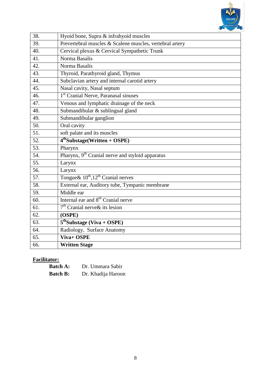

| 38. | Hyoid bone, Supra & infrahyoid muscles                       |
|-----|--------------------------------------------------------------|
| 39. | Prevertebral muscles & Scalene muscles, vertebral artery     |
| 40. | Cervical plexus & Cervical Sympathetic Trunk                 |
| 41. | Norma Basalis                                                |
| 42. | Norma Basalis                                                |
| 43. | Thyroid, Parathyroid gland, Thymus                           |
| 44. | Subclavian artery and internal carotid artery                |
| 45. | Nasal cavity, Nasal septum                                   |
| 46. | 1 <sup>st</sup> Cranial Nerve, Paranasal sinuses             |
| 47. | Venous and lymphatic drainage of the neck                    |
| 48. | Submandibular & sublingual gland                             |
| 49. | Submandibular ganglion                                       |
| 50. | Oral cavity                                                  |
| 51. | soft palate and its muscles                                  |
| 52. | $4thSubstage(Written + OSPE)$                                |
| 53. | Pharynx                                                      |
| 54. | Pharynx, 9 <sup>th</sup> Cranial nerve and styloid apparatus |
| 55. | Larynx                                                       |
| 56. | Larynx                                                       |
| 57. | Tongue & $10^{th}$ , $12^{th}$ Cranial nerves                |
| 58. | External ear, Auditory tube, Tympanic membrane               |
| 59. | Middle ear                                                   |
| 60. | Internal ear and 8 <sup>th</sup> Cranial nerve               |
| 61. | $7th$ Cranial nerve & its lesion                             |
| 62. | (OSPE)                                                       |
| 63. | $5thSubstage (Viva + OSPE)$                                  |
| 64. | Radiology, Surface Anatomy                                   |
| 65. | Viva+ OSPE                                                   |
| 66. | <b>Written Stage</b>                                         |

# **Facilitator:**

| <b>Batch A:</b> | Dr. Ummara Sabir   |
|-----------------|--------------------|
| <b>Batch B:</b> | Dr. Khadija Haroon |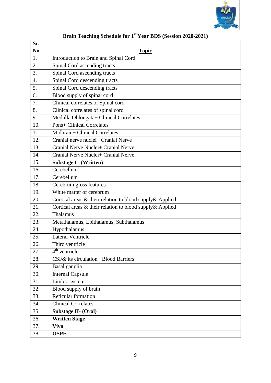

| Sr.            |                                                          |
|----------------|----------------------------------------------------------|
| N <sub>0</sub> | <b>Topic</b>                                             |
| 1.             | Introduction to Brain and Spinal Cord                    |
| 2.             | Spinal Cord ascending tracts                             |
| 3.             | Spinal Cord ascending tracts                             |
| 4.             | Spinal Cord descending tracts                            |
| 5.             | Spinal Cord descending tracts                            |
| 6.             | Blood supply of spinal cord                              |
| 7.             | Clinical correlates of Spinal cord                       |
| 8.             | Clinical correlates of spinal cord                       |
| 9.             | Medulla Oblongata+ Clinical Correlates                   |
| 10.            | <b>Pons+ Clinical Correlates</b>                         |
| 11.            | Midbrain+ Clinical Correlates                            |
| 12.            | Cranial nerve nuclei+ Cranial Nerve                      |
| 13.            | Cranial Nerve Nuclei+ Cranial Nerve                      |
| 14.            | Cranial Nerve Nuclei+ Cranial Nerve                      |
| 15.            | Substage I – (Written)                                   |
| 16.            | Cerebellum                                               |
| 17.            | Cerebellum                                               |
| 18.            | Cerebrum gross features                                  |
| 19.            | White matter of cerebrum                                 |
| 20.            | Cortical areas & their relation to blood supply& Applied |
| 21.            | Cortical areas & their relation to blood supply& Applied |
| 22.            | Thalamus                                                 |
| 23.            | Metathalamus, Epithalamus, Subthalamus                   |
| 24.            | Hypothalamus                                             |
| 25.            | <b>Lateral Ventricle</b>                                 |
| 26.            | Third ventricle                                          |
| 27.            | $4th$ ventricle                                          |
| 28.            | CSF& its circulation+ Blood Barriers                     |
| 29.            | Basal ganglia                                            |
| 30.            | <b>Internal Capsule</b>                                  |
| 31.            | Limbic system                                            |
| 32.            | Blood supply of brain                                    |
| 33.            | Reticular formation                                      |
| 34.            | <b>Clinical Correlates</b>                               |
| 35.            | Substage II- (Oral)                                      |
| 36.            | <b>Written Stage</b>                                     |
| 37.            | <b>Viva</b>                                              |
| 38.            | <b>OSPE</b>                                              |

# **Brain Teaching Schedule for 1st Year BDS (Session 2020-2021)**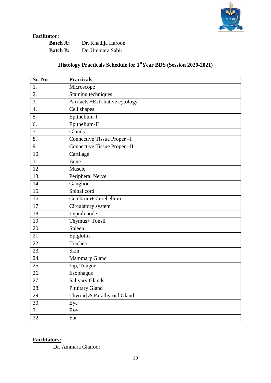

### **Facilitator:**

| <b>Batch A:</b> | Dr. Khadija Haroon |
|-----------------|--------------------|
| <b>Batch B:</b> | Dr. Ummara Sabir   |

# **Histology Practicals Schedule for 1stYear BDS (Session 2020-2021)**

| Sr. No           | <b>Practicals</b>               |
|------------------|---------------------------------|
| 1.               | Microscope                      |
| 2.               | Staining techniques             |
| 3.               | Artifacts +Exfoliative cytology |
| $\overline{4}$ . | Cell shapes                     |
| 5.               | Epithelium-I                    |
| 6.               | Epithelium-II                   |
| 7.               | Glands                          |
| 8.               | Connective Tissue Proper-I      |
| 9.               | Connective Tissue Proper-II     |
| 10.              | Cartilage                       |
| 11.              | Bone                            |
| 12.              | Muscle                          |
| 13.              | Peripheral Nerve                |
| 14.              | Ganglion                        |
| 15.              | Spinal cord                     |
| 16.              | Cerebrum+Cerebellum             |
| 17.              | Circulatory system              |
| 18.              | Lypmh node                      |
| 19.              | Thymus+ Tonsil                  |
| 20.              | Spleen                          |
| 21.              | Epiglottis                      |
| 22.              | Trachea                         |
| 23.              | Skin                            |
| 24.              | Mammary Gland                   |
| 25.              | Lip, Tongue                     |
| 26.              | Esophagus                       |
| 27.              | Salivary Glands                 |
| 28.              | Pituitary Gland                 |
| 29.              | Thyroid & Parathyroid Gland     |
| 30.              | Eye                             |
| 31.              | Eye                             |
| 32.              | Ear                             |

### **Facilitators:**

Dr. Ammara Ghafoor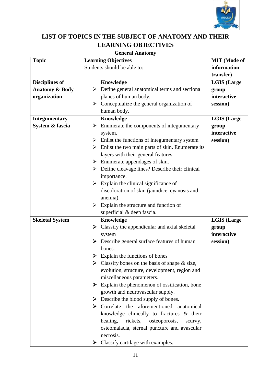

# **LIST OF TOPICS IN THE SUBJECT OF ANATOMY AND THEIR LEARNING OBJECTIVES**

### **General Anatomy**

| <b>Topic</b>              | <b>Learning Objectives</b>                                        | <b>MIT</b> (Mode of |
|---------------------------|-------------------------------------------------------------------|---------------------|
|                           | Students should be able to:                                       | information         |
|                           |                                                                   | transfer)           |
| <b>Disciplines of</b>     | Knowledge                                                         | <b>LGIS (Large</b>  |
| <b>Anatomy &amp; Body</b> | Define general anatomical terms and sectional<br>➤                | group               |
| organization              | planes of human body.                                             | interactive         |
|                           | $\triangleright$ Conceptualize the general organization of        | session)            |
|                           | human body.                                                       |                     |
| <b>Integumentary</b>      | Knowledge                                                         | <b>LGIS</b> (Large  |
| System & fascia           | Enumerate the components of integumentary<br>➤                    | group               |
|                           | system.                                                           | interactive         |
|                           | $\triangleright$ Enlist the functions of integumentary system     | session)            |
|                           | $\triangleright$ Enlist the two main parts of skin. Enumerate its |                     |
|                           | layers with their general features.                               |                     |
|                           | $\triangleright$ Enumerate appendages of skin.                    |                     |
|                           | $\triangleright$ Define cleavage lines? Describe their clinical   |                     |
|                           | importance.                                                       |                     |
|                           | $\triangleright$ Explain the clinical significance of             |                     |
|                           | discoloration of skin (jaundice, cyanosis and                     |                     |
|                           | anemia).                                                          |                     |
|                           | Explain the structure and function of<br>➤                        |                     |
|                           | superficial & deep fascia.                                        |                     |
| <b>Skeletal System</b>    | <b>Knowledge</b>                                                  | <b>LGIS (Large</b>  |
|                           | $\triangleright$ Classify the appendicular and axial skeletal     | group               |
|                           | system                                                            | interactive         |
|                           | $\triangleright$ Describe general surface features of human       | session)            |
|                           | bones.                                                            |                     |
|                           | Explain the functions of bones<br>➤                               |                     |
|                           | Classify bones on the basis of shape $\&$ size,                   |                     |
|                           | evolution, structure, development, region and                     |                     |
|                           | miscellaneous parameters.                                         |                     |
|                           | Explain the phenomenon of ossification, bone                      |                     |
|                           | growth and neurovascular supply.                                  |                     |
|                           | $\triangleright$ Describe the blood supply of bones.              |                     |
|                           | $\triangleright$ Correlate the aforementioned anatomical          |                     |
|                           | knowledge clinically to fractures & their                         |                     |
|                           | healing,<br>rickets,<br>osteoporosis,<br>scurvy,                  |                     |
|                           | osteomalacia, sternal puncture and avascular                      |                     |
|                           | necrosis.                                                         |                     |
|                           | $\triangleright$ Classify cartilage with examples.                |                     |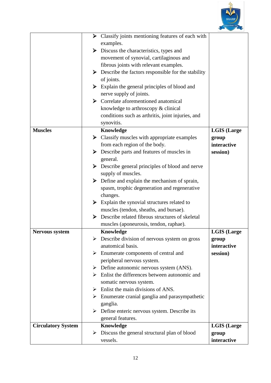

| examples.<br>$\triangleright$ Discuss the characteristics, types and       |  |
|----------------------------------------------------------------------------|--|
|                                                                            |  |
|                                                                            |  |
| movement of synovial, cartilaginous and                                    |  |
| fibrous joints with relevant examples.                                     |  |
| Describe the factors responsible for the stability<br>➤                    |  |
| of joints.                                                                 |  |
| $\triangleright$ Explain the general principles of blood and               |  |
| nerve supply of joints.                                                    |  |
| Correlate aforementioned anatomical                                        |  |
| knowledge to arthroscopy & clinical                                        |  |
| conditions such as arthritis, joint injuries, and                          |  |
| synovitis.                                                                 |  |
| Knowledge<br><b>Muscles</b><br><b>LGIS</b> (Large                          |  |
| Classify muscles with appropriate examples<br>➤<br>group                   |  |
| from each region of the body.<br>interactive                               |  |
| $\triangleright$ Describe parts and features of muscles in<br>session)     |  |
| general.                                                                   |  |
| Describe general principles of blood and nerve                             |  |
| supply of muscles.                                                         |  |
| Define and explain the mechanism of sprain,<br>➤                           |  |
| spasm, trophic degeneration and regenerative                               |  |
| changes.                                                                   |  |
| Explain the synovial structures related to<br>➤                            |  |
| muscles (tendon, sheaths, and bursae).                                     |  |
| Describe related fibrous structures of skeletal<br>➤                       |  |
| muscles (aponeurosis, tendon, raphae).                                     |  |
| Knowledge<br><b>LGIS</b> (Large<br><b>Nervous system</b>                   |  |
| Describe division of nervous system on gross<br>group                      |  |
| anatomical basis.<br>interactive                                           |  |
| $\triangleright$ Enumerate components of central and<br>session)           |  |
| peripheral nervous system.                                                 |  |
| $\triangleright$ Define autonomic nervous system (ANS).                    |  |
| $\triangleright$ Enlist the differences between autonomic and              |  |
| somatic nervous system.                                                    |  |
| Enlist the main divisions of ANS.<br>➤                                     |  |
| $\triangleright$ Enumerate cranial ganglia and parasympathetic<br>ganglia. |  |
| Define enteric nervous system. Describe its                                |  |
| general features.                                                          |  |
| Knowledge<br><b>Circulatory System</b><br><b>LGIS</b> (Large               |  |
| Discuss the general structural plan of blood<br>group                      |  |
| vessels.<br>interactive                                                    |  |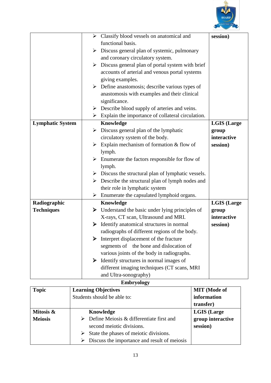

|                         |   | $\triangleright$ Classify blood vessels on anatomical and          | session)           |
|-------------------------|---|--------------------------------------------------------------------|--------------------|
|                         |   | functional basis.                                                  |                    |
|                         | ➤ | Discuss general plan of systemic, pulmonary                        |                    |
|                         |   | and coronary circulatory system.                                   |                    |
|                         | ➤ | Discuss general plan of portal system with brief                   |                    |
|                         |   | accounts of arterial and venous portal systems                     |                    |
|                         |   | giving examples.                                                   |                    |
|                         |   | $\triangleright$ Define anastomosis; describe various types of     |                    |
|                         |   | anastomosis with examples and their clinical                       |                    |
|                         |   | significance.                                                      |                    |
|                         | ➤ | Describe blood supply of arteries and veins.                       |                    |
|                         |   | $\triangleright$ Explain the importance of collateral circulation. |                    |
| <b>Lymphatic System</b> |   | Knowledge                                                          | <b>LGIS (Large</b> |
|                         |   | $\triangleright$ Discuss general plan of the lymphatic             | group              |
|                         |   | circulatory system of the body.                                    | interactive        |
|                         | ➤ | Explain mechanism of formation $&$ flow of                         | session)           |
|                         |   | lymph.                                                             |                    |
|                         | ➤ | Enumerate the factors responsible for flow of                      |                    |
|                         |   | lymph.                                                             |                    |
|                         |   | $\triangleright$ Discuss the structural plan of lymphatic vessels. |                    |
|                         | ➤ | Describe the structural plan of lymph nodes and                    |                    |
|                         |   | their role in lymphatic system                                     |                    |
|                         |   | $\triangleright$ Enumerate the capsulated lymphoid organs.         |                    |
| Radiographic            |   | Knowledge                                                          | <b>LGIS</b> (Large |
| <b>Techniques</b>       | ➤ | Understand the basic under lying principles of                     | group              |
|                         |   | X-rays, CT scan, Ultrasound and MRI.                               | interactive        |
|                         | ➤ | Identify anatomical structures in normal                           | session)           |
|                         |   | radiographs of different regions of the body.                      |                    |
|                         |   | Interpret displacement of the fracture                             |                    |
|                         |   | segments of the bone and dislocation of                            |                    |
|                         |   | various joints of the body in radiographs.                         |                    |
|                         | ➤ | Identify structures in normal images of                            |                    |
|                         |   | different imaging techniques (CT scans, MRI                        |                    |
|                         |   | and Ultra-sonography)                                              |                    |

### **Embryology**

| <b>Topic</b>   | <b>Learning Objectives</b>                   | <b>MIT</b> (Mode of |
|----------------|----------------------------------------------|---------------------|
|                | Students should be able to:                  | information         |
|                |                                              | transfer)           |
| Mitosis &      | Knowledge                                    | <b>LGIS</b> (Large  |
| <b>Meiosis</b> | Define Meiosis & differentiate first and     | group interactive   |
|                | second meiotic divisions.                    | session)            |
|                | State the phases of meiotic divisions.<br>➤  |                     |
|                | Discuss the importance and result of meiosis |                     |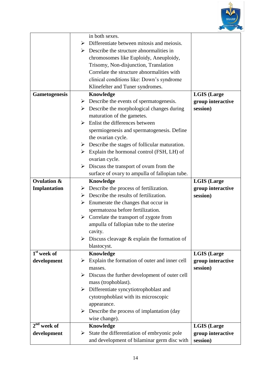

|                        | in both sexes.                                                 |                    |
|------------------------|----------------------------------------------------------------|--------------------|
|                        | Differentiate between mitosis and meiosis.<br>➤                |                    |
|                        | $\triangleright$ Describe the structure abnormalities in       |                    |
|                        | chromosomes like Euploidy, Aneuploidy,                         |                    |
|                        | Trisomy, Non-disjunction, Translation                          |                    |
|                        | Correlate the structure abnormalities with                     |                    |
|                        | clinical conditions like: Down's syndrome                      |                    |
|                        | Klinefelter and Tuner syndromes.                               |                    |
| <b>Gametogenesis</b>   | Knowledge                                                      | <b>LGIS</b> (Large |
|                        | $\triangleright$ Describe the events of spermatogenesis.       | group interactive  |
|                        | $\triangleright$ Describe the morphological changes during     | session)           |
|                        | maturation of the gametes.                                     |                    |
|                        | Enlist the differences between<br>↘                            |                    |
|                        | spermiogenesis and spermatogenesis. Define                     |                    |
|                        | the ovarian cycle.                                             |                    |
|                        | $\triangleright$ Describe the stages of follicular maturation. |                    |
|                        | Explain the hormonal control (FSH, LH) of<br>≻                 |                    |
|                        | ovarian cycle.                                                 |                    |
|                        | Discuss the transport of ovum from the<br>➤                    |                    |
|                        | surface of ovary to ampulla of fallopian tube.                 |                    |
| <b>Ovulation &amp;</b> | Knowledge                                                      | <b>LGIS</b> (Large |
| Implantation           | $\triangleright$ Describe the process of fertilization.        | group interactive  |
|                        | $\triangleright$ Describe the results of fertilization.        | session)           |
|                        | Enumerate the changes that occur in<br>$\blacktriangleright$   |                    |
|                        | spermatozoa before fertilization.                              |                    |
|                        | $\triangleright$ Correlate the transport of zygote from        |                    |
|                        | ampulla of fallopian tube to the uterine                       |                    |
|                        | cavity.                                                        |                    |
|                        | Discuss cleavage $\&$ explain the formation of                 |                    |
|                        | blastocyst.                                                    |                    |
| $1st$ week of          | Knowledge                                                      | <b>LGIS</b> (Large |
| development            | Explain the formation of outer and inner cell<br>➤             | group interactive  |
|                        | masses.                                                        | session)           |
|                        | Discuss the further development of outer cell<br>➤             |                    |
|                        | mass (trophoblast).                                            |                    |
|                        | Differentiate syncytiotrophoblast and<br>➤                     |                    |
|                        | cytotrophoblast with its microscopic                           |                    |
|                        | appearance.                                                    |                    |
|                        | Describe the process of implantation (day<br>➤                 |                    |
|                        | wise change).                                                  |                    |
| $2nd$ week of          | Knowledge                                                      | <b>LGIS</b> (Large |
| development            | State the differentiation of embryonic pole<br>➤               | group interactive  |
|                        | and development of bilaminar germ disc with                    | session)           |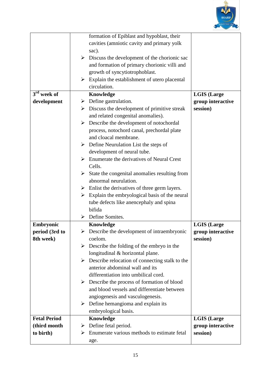

|                     | formation of Epiblast and hypoblast, their                            |                    |
|---------------------|-----------------------------------------------------------------------|--------------------|
|                     | cavities (amniotic cavity and primary yolk                            |                    |
|                     | sac).                                                                 |                    |
|                     | $\triangleright$ Discuss the development of the chorionic sac         |                    |
|                     | and formation of primary chorionic villi and                          |                    |
|                     | growth of syncytiotrophoblast.                                        |                    |
|                     | Explain the establishment of utero placental<br>$\blacktriangleright$ |                    |
|                     | circulation.                                                          |                    |
| $3rd$ week of       | Knowledge                                                             | <b>LGIS (Large</b> |
| development         | $\triangleright$ Define gastrulation.                                 | group interactive  |
|                     | $\triangleright$ Discuss the development of primitive streak          | session)           |
|                     | and related congenital anomalies).                                    |                    |
|                     | Describe the development of notochordal<br>➤                          |                    |
|                     | process, notochord canal, prechordal plate                            |                    |
|                     | and cloacal membrane.                                                 |                    |
|                     | $\triangleright$ Define Neurulation List the steps of                 |                    |
|                     | development of neural tube.                                           |                    |
|                     | Enumerate the derivatives of Neural Crest<br>➤                        |                    |
|                     | Cells.                                                                |                    |
|                     | $\triangleright$ State the congenital anomalies resulting from        |                    |
|                     | abnormal neurulation.                                                 |                    |
|                     | $\triangleright$ Enlist the derivatives of three germ layers.         |                    |
|                     | $\triangleright$ Explain the embryological basis of the neural        |                    |
|                     | tube defects like anencephaly and spina                               |                    |
|                     | bifida                                                                |                    |
|                     | $\triangleright$ Define Somites.                                      |                    |
| Embryonic           | Knowledge                                                             | <b>LGIS</b> (Large |
| period (3rd to      | $\triangleright$ Describe the development of intraembryonic           | group interactive  |
| 8th week)           | coelom.                                                               | session)           |
|                     | Describe the folding of the embryo in the<br>➤                        |                    |
|                     | longitudinal & horizontal plane.                                      |                    |
|                     | $\triangleright$ Describe relocation of connecting stalk to the       |                    |
|                     | anterior abdominal wall and its                                       |                    |
|                     | differentiation into umbilical cord.                                  |                    |
|                     | $\triangleright$ Describe the process of formation of blood           |                    |
|                     | and blood vessels and differentiate between                           |                    |
|                     | angiogenesis and vasculogenesis.                                      |                    |
|                     | $\triangleright$ Define hemangioma and explain its                    |                    |
|                     | embryological basis.                                                  |                    |
| <b>Fetal Period</b> | Knowledge                                                             | <b>LGIS</b> (Large |
| (third month        | Define fetal period.<br>➤                                             | group interactive  |
| to birth)           | Enumerate various methods to estimate fetal<br>➤                      | session)           |
|                     | age.                                                                  |                    |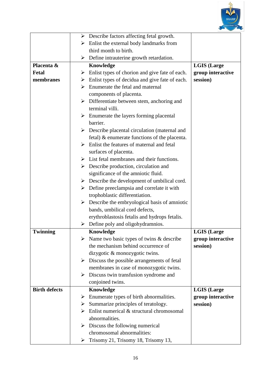

|                      | $\triangleright$ Describe factors affecting fetal growth.       |                    |
|----------------------|-----------------------------------------------------------------|--------------------|
|                      | $\triangleright$ Enlist the external body landmarks from        |                    |
|                      | third month to birth.                                           |                    |
|                      | $\triangleright$ Define intrauterine growth retardation.        |                    |
| Placenta &           | Knowledge                                                       | <b>LGIS (Large</b> |
| <b>Fetal</b>         | Enlist types of chorion and give fate of each.<br>≻             | group interactive  |
| membranes            | $\triangleright$ Enlist types of decidua and give fate of each. | session)           |
|                      | $\triangleright$ Enumerate the fetal and maternal               |                    |
|                      | components of placenta.                                         |                    |
|                      | $\triangleright$ Differentiate between stem, anchoring and      |                    |
|                      | terminal villi.                                                 |                    |
|                      | $\triangleright$ Enumerate the layers forming placental         |                    |
|                      | barrier.                                                        |                    |
|                      | $\triangleright$ Describe placental circulation (maternal and   |                    |
|                      | fetal) $\&$ enumerate functions of the placenta.                |                    |
|                      | Enlist the features of maternal and fetal                       |                    |
|                      | surfaces of placenta.                                           |                    |
|                      | $\triangleright$ List fetal membranes and their functions.      |                    |
|                      | $\triangleright$ Describe production, circulation and           |                    |
|                      | significance of the amniotic fluid.                             |                    |
|                      | $\triangleright$ Describe the development of umbilical cord.    |                    |
|                      | $\triangleright$ Define preeclampsia and correlate it with      |                    |
|                      | trophoblastic differentiation.                                  |                    |
|                      | $\triangleright$ Describe the embryological basis of amniotic   |                    |
|                      | bands, umbilical cord defects,                                  |                    |
|                      | erythroblastosis fetalis and hydrops fetalis.                   |                    |
|                      | Define poly and oligohydramnios.<br>≻                           |                    |
| <b>Twinning</b>      | Knowledge                                                       | <b>LGIS (Large</b> |
|                      | Name two basic types of twins & describe                        | group interactive  |
|                      | the mechanism behind occurrence of                              | session)           |
|                      | dizygotic & monozygotic twins.                                  |                    |
|                      | $\triangleright$ Discuss the possible arrangements of fetal     |                    |
|                      | membranes in case of monozygotic twins.                         |                    |
|                      | Discuss twin transfusion syndrome and<br>➤                      |                    |
|                      | conjoined twins.                                                |                    |
| <b>Birth defects</b> | Knowledge                                                       | <b>LGIS (Large</b> |
|                      | Enumerate types of birth abnormalities.<br>➤                    | group interactive  |
|                      | Summarize principles of teratology.<br>➤                        | session)           |
|                      | Enlist numerical & structural chromosomal<br>➤                  |                    |
|                      | abnormalities.                                                  |                    |
|                      | Discuss the following numerical<br>➤                            |                    |
|                      | chromosomal abnormalities:                                      |                    |
|                      | Trisomy 21, Trisomy 18, Trisomy 13,<br>➤                        |                    |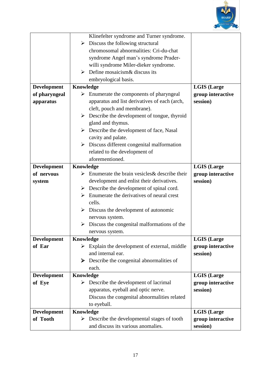

|                    | Klinefelter syndrome and Turner syndrome.                            |                    |
|--------------------|----------------------------------------------------------------------|--------------------|
|                    | $\triangleright$ Discuss the following structural                    |                    |
|                    | chromosomal abnormalities: Cri-du-chat                               |                    |
|                    | syndrome Angel man's syndrome Prader-                                |                    |
|                    | willi syndrome Miler-dieker syndrome.                                |                    |
|                    | Define mosaicism & discuss its<br>➤                                  |                    |
|                    | embryological basis.                                                 |                    |
| <b>Development</b> | Knowledge                                                            | <b>LGIS (Large</b> |
| of pharyngeal      | Enumerate the components of pharyngeal<br>➤                          | group interactive  |
| apparatus          | apparatus and list derivatives of each (arch,                        | session)           |
|                    | cleft, pouch and membrane).                                          |                    |
|                    | Describe the development of tongue, thyroid<br>$\blacktriangleright$ |                    |
|                    | gland and thymus.                                                    |                    |
|                    | $\triangleright$ Describe the development of face, Nasal             |                    |
|                    | cavity and palate.                                                   |                    |
|                    | $\triangleright$ Discuss different congenital malformation           |                    |
|                    | related to the development of                                        |                    |
|                    | aforementioned.                                                      |                    |
| Development        | Knowledge                                                            | <b>LGIS (Large</b> |
| of nervous         | Enumerate the brain vesicles & describe their                        | group interactive  |
|                    | development and enlist their derivatives.                            | session)           |
| system             | $\triangleright$ Describe the development of spinal cord.            |                    |
|                    | Enumerate the derivatives of neural crest<br>➤                       |                    |
|                    | cells.                                                               |                    |
|                    | $\triangleright$ Discuss the development of autonomic                |                    |
|                    |                                                                      |                    |
|                    | nervous system.<br>Discuss the congenital malformations of the<br>➤  |                    |
|                    | nervous system.                                                      |                    |
| <b>Development</b> | Knowledge                                                            | <b>LGIS (Large</b> |
| of Ear             | $\triangleright$ Explain the development of external, middle         | group interactive  |
|                    | and internal ear.                                                    | session)           |
|                    | $\triangleright$ Describe the congenital abnormalities of            |                    |
|                    | each.                                                                |                    |
| <b>Development</b> | Knowledge                                                            | <b>LGIS (Large</b> |
| of Eye             | Describe the development of lacrimal<br>➤                            | group interactive  |
|                    | apparatus, eyeball and optic nerve.                                  | session)           |
|                    | Discuss the congenital abnormalities related                         |                    |
|                    | to eyeball.                                                          |                    |
| <b>Development</b> | Knowledge                                                            | <b>LGIS</b> (Large |
| of Tooth           | $\triangleright$ Describe the developmental stages of tooth          | group interactive  |
|                    | and discuss its various anomalies.                                   | session)           |
|                    |                                                                      |                    |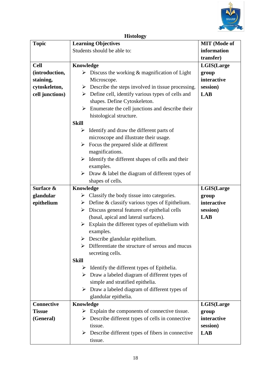

# **Histology**

| <b>Topic</b>    | <b>Learning Objectives</b>                                         | <b>MIT</b> (Mode of |
|-----------------|--------------------------------------------------------------------|---------------------|
|                 | Students should be able to:                                        | information         |
|                 |                                                                    | transfer)           |
| <b>Cell</b>     | Knowledge                                                          | <b>LGIS(Large</b>   |
| (introduction,  | $\triangleright$ Discuss the working & magnification of Light      | group               |
| staining,       | Microscope.                                                        | interactive         |
| cytoskeleton,   | $\triangleright$ Describe the steps involved in tissue processing. | session)            |
| cell junctions) | $\triangleright$ Define cell, identify various types of cells and  | <b>LAB</b>          |
|                 | shapes. Define Cytoskeleton.                                       |                     |
|                 | Enumerate the cell junctions and describe their                    |                     |
|                 | histological structure.                                            |                     |
|                 | <b>Skill</b>                                                       |                     |
|                 | Identify and draw the different parts of<br>➤                      |                     |
|                 | microscope and illustrate their usage.                             |                     |
|                 | Focus the prepared slide at different<br>➤                         |                     |
|                 | magnifications.                                                    |                     |
|                 | Identify the different shapes of cells and their<br>➤              |                     |
|                 | examples.                                                          |                     |
|                 | Draw & label the diagram of different types of<br>➤                |                     |
|                 | shapes of cells.                                                   |                     |
| Surface &       | Knowledge                                                          | <b>LGIS(Large</b>   |
| glandular       | $\triangleright$ Classify the body tissue into categories.         | group               |
| epithelium      | $\triangleright$ Define & classify various types of Epithelium.    | interactive         |
|                 | Discuss general features of epithelial cells<br>➤                  | session)            |
|                 | (basal, apical and lateral surfaces).                              | <b>LAB</b>          |
|                 | $\triangleright$ Explain the different types of epithelium with    |                     |
|                 | examples.                                                          |                     |
|                 | $\triangleright$ Describe glandular epithelium.                    |                     |
|                 | Differentiate the structure of serous and mucus                    |                     |
|                 | secreting cells.                                                   |                     |
|                 | <b>Skill</b>                                                       |                     |
|                 | Identify the different types of Epithelia.<br>➤                    |                     |
|                 | $\triangleright$ Draw a labeled diagram of different types of      |                     |
|                 | simple and stratified epithelia.                                   |                     |
|                 | $\triangleright$ Draw a labeled diagram of different types of      |                     |
|                 | glandular epithelia.                                               |                     |
| Connective      | Knowledge                                                          | LGIS(Large          |
| <b>Tissue</b>   | Explain the components of connective tissue.<br>➤                  | group               |
| (General)       | Describe different types of cells in connective<br>➤               | interactive         |
|                 | tissue.                                                            | session)            |
|                 | $\triangleright$ Describe different types of fibers in connective  | <b>LAB</b>          |
|                 | tissue.                                                            |                     |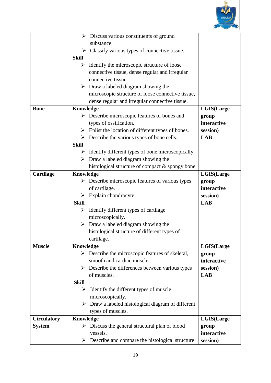

|                    |              | $\triangleright$ Discuss various constituents of ground           |                   |
|--------------------|--------------|-------------------------------------------------------------------|-------------------|
|                    |              | substance.                                                        |                   |
|                    |              | $\triangleright$ Classify various types of connective tissue.     |                   |
|                    | <b>Skill</b> |                                                                   |                   |
|                    | ➤            | Identify the microscopic structure of loose                       |                   |
|                    |              | connective tissue, dense regular and irregular                    |                   |
|                    |              | connective tissue.                                                |                   |
|                    |              |                                                                   |                   |
|                    |              | $\triangleright$ Draw a labeled diagram showing the               |                   |
|                    |              | microscopic structure of loose connective tissue,                 |                   |
|                    |              | dense regular and irregular connective tissue.                    |                   |
| <b>Bone</b>        | Knowledge    |                                                                   | LGIS(Large        |
|                    | ➤            | Describe microscopic features of bones and                        | group             |
|                    |              | types of ossification.                                            | interactive       |
|                    |              | $\triangleright$ Enlist the location of different types of bones. | session)          |
|                    |              | $\triangleright$ Describe the various types of bone cells.        | <b>LAB</b>        |
|                    | <b>Skill</b> |                                                                   |                   |
|                    | ➤            | Identify different types of bone microscopically.                 |                   |
|                    |              | $\triangleright$ Draw a labeled diagram showing the               |                   |
|                    |              | histological structure of compact & spongy bone                   |                   |
| <b>Cartilage</b>   | Knowledge    |                                                                   | LGIS(Large        |
|                    | ➤            | Describe microscopic features of various types                    | group             |
|                    |              | of cartilage.                                                     | interactive       |
|                    |              | Explain chondrocyte.                                              | session)          |
|                    | <b>Skill</b> |                                                                   | <b>LAB</b>        |
|                    | ➤            | Identify different types of cartilage                             |                   |
|                    |              | microscopically.                                                  |                   |
|                    | ➤            | Draw a labeled diagram showing the                                |                   |
|                    |              | histological structure of different types of                      |                   |
|                    |              | cartilage.                                                        |                   |
| <b>Muscle</b>      | Knowledge    |                                                                   | <b>LGIS(Large</b> |
|                    |              | $\triangleright$ Describe the microscopic features of skeletal,   | group             |
|                    |              | smooth and cardiac muscle.                                        | interactive       |
|                    |              | $\triangleright$ Describe the differences between various types   | session)          |
|                    |              | of muscles.                                                       | <b>LAB</b>        |
|                    | <b>Skill</b> |                                                                   |                   |
|                    | ➤            | Identify the different types of muscle                            |                   |
|                    |              | microscopically.                                                  |                   |
|                    |              | $\triangleright$ Draw a labeled histological diagram of different |                   |
|                    |              |                                                                   |                   |
|                    |              | types of muscles.                                                 |                   |
| <b>Circulatory</b> | Knowledge    |                                                                   | LGIS(Large        |
| <b>System</b>      |              | $\triangleright$ Discuss the general structural plan of blood     | group             |
|                    |              | vessels.                                                          | interactive       |
|                    | ➤            | Describe and compare the histological structure                   | session)          |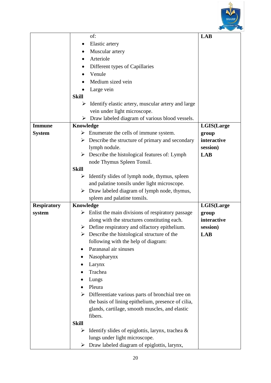

|                    | of:                                                                                                         | <b>LAB</b>        |
|--------------------|-------------------------------------------------------------------------------------------------------------|-------------------|
|                    | Elastic artery                                                                                              |                   |
|                    | Muscular artery                                                                                             |                   |
|                    | Arteriole                                                                                                   |                   |
|                    | Different types of Capillaries                                                                              |                   |
|                    | Venule                                                                                                      |                   |
|                    | Medium sized vein                                                                                           |                   |
|                    | Large vein                                                                                                  |                   |
|                    | <b>Skill</b>                                                                                                |                   |
|                    | Identify elastic artery, muscular artery and large<br>➤                                                     |                   |
|                    | vein under light microscope.                                                                                |                   |
|                    | $\triangleright$ Draw labeled diagram of various blood vessels.                                             |                   |
| <b>Immune</b>      | Knowledge                                                                                                   | <b>LGIS(Large</b> |
| <b>System</b>      | $\triangleright$ Enumerate the cells of immune system.                                                      | group             |
|                    | $\triangleright$ Describe the structure of primary and secondary                                            | interactive       |
|                    | lymph nodule.                                                                                               | session)          |
|                    | Describe the histological features of: Lymph<br>➤                                                           | <b>LAB</b>        |
|                    | node Thymus Spleen Tonsil.                                                                                  |                   |
|                    | <b>Skill</b>                                                                                                |                   |
|                    | Identify slides of lymph node, thymus, spleen<br>➤                                                          |                   |
|                    | and palatine tonsils under light microscope.                                                                |                   |
|                    | Draw labeled diagram of lymph node, thymus,<br>➤                                                            |                   |
|                    | spleen and palatine tonsils.                                                                                |                   |
| <b>Respiratory</b> | Knowledge                                                                                                   | <b>LGIS(Large</b> |
| system             | Enlist the main divisions of respiratory passage<br>➤                                                       | group             |
|                    | along with the structures constituting each.                                                                | interactive       |
|                    | $\triangleright$ Define respiratory and olfactory epithelium.<br>Describe the histological structure of the | session)          |
|                    | ➤                                                                                                           | LAB               |
|                    | following with the help of diagram:<br>Paranasal air sinuses                                                |                   |
|                    |                                                                                                             |                   |
|                    | Nasopharynx                                                                                                 |                   |
|                    | Larynx<br>Trachea                                                                                           |                   |
|                    |                                                                                                             |                   |
|                    | Lungs<br>Pleura                                                                                             |                   |
|                    | Differentiate various parts of bronchial tree on<br>➤                                                       |                   |
|                    | the basis of lining epithelium, presence of cilia,                                                          |                   |
|                    | glands, cartilage, smooth muscles, and elastic                                                              |                   |
|                    | fibers.                                                                                                     |                   |
|                    | <b>Skill</b>                                                                                                |                   |
|                    | Identify slides of epiglottis, larynx, trachea $\&$<br>➤                                                    |                   |
|                    | lungs under light microscope.                                                                               |                   |
|                    | Draw labeled diagram of epiglottis, larynx,<br>➤                                                            |                   |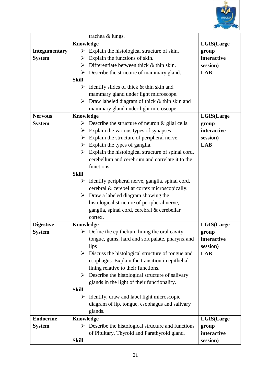

|                                   | trachea & lungs.                                                  |                      |
|-----------------------------------|-------------------------------------------------------------------|----------------------|
|                                   | Knowledge                                                         | LGIS(Large           |
| <b>Integumentary</b>              | Explain the histological structure of skin.<br>➤                  | group                |
| <b>System</b>                     | Explain the functions of skin.<br>➤                               | interactive          |
|                                   | Differentiate between thick & thin skin.<br>≻                     | session)             |
|                                   | Describe the structure of mammary gland.<br>➤                     | <b>LAB</b>           |
|                                   | <b>Skill</b>                                                      |                      |
|                                   | Identify slides of thick & thin skin and<br>➤                     |                      |
|                                   | mammary gland under light microscope.                             |                      |
|                                   | $\triangleright$ Draw labeled diagram of thick & thin skin and    |                      |
|                                   | mammary gland under light microscope.                             |                      |
| <b>Nervous</b>                    | Knowledge                                                         | LGIS(Large           |
| <b>System</b>                     | $\triangleright$ Describe the structure of neuron & glial cells.  | group                |
|                                   | Explain the various types of synapses.<br>➤                       | interactive          |
|                                   | Explain the structure of peripheral nerve.<br>➤                   | session)             |
|                                   | $\triangleright$ Explain the types of ganglia.                    | <b>LAB</b>           |
|                                   | Explain the histological structure of spinal cord,<br>➤           |                      |
|                                   | cerebellum and cerebrum and correlate it to the                   |                      |
|                                   | functions.                                                        |                      |
|                                   | <b>Skill</b>                                                      |                      |
|                                   | Identify peripheral nerve, ganglia, spinal cord,<br>➤             |                      |
|                                   | cerebral & cerebellar cortex microscopically.                     |                      |
|                                   | $\triangleright$ Draw a labeled diagram showing the               |                      |
|                                   | histological structure of peripheral nerve,                       |                      |
|                                   | ganglia, spinal cord, cerebral & cerebellar<br>cortex.            |                      |
|                                   |                                                                   |                      |
| <b>Digestive</b><br><b>System</b> | Knowledge<br>Define the epithelium lining the oral cavity,<br>➤   | LGIS(Large           |
|                                   | tongue, gums, hard and soft palate, pharynx and                   | group<br>interactive |
|                                   | lips                                                              | session)             |
|                                   | $\triangleright$ Discuss the histological structure of tongue and | <b>LAB</b>           |
|                                   | esophagus. Explain the transition in epithelial                   |                      |
|                                   | lining relative to their functions.                               |                      |
|                                   | $\triangleright$ Describe the histological structure of salivary  |                      |
|                                   | glands in the light of their functionality.                       |                      |
|                                   | <b>Skill</b>                                                      |                      |
|                                   | Identify, draw and label light microscopic<br>➤                   |                      |
|                                   | diagram of lip, tongue, esophagus and salivary                    |                      |
|                                   | glands.                                                           |                      |
| <b>Endocrine</b>                  | Knowledge                                                         | LGIS(Large           |
| <b>System</b>                     | Describe the histological structure and functions<br>➤            | group                |
|                                   | of Pituitary, Thyroid and Parathyroid gland.                      | interactive          |
|                                   | <b>Skill</b>                                                      | session)             |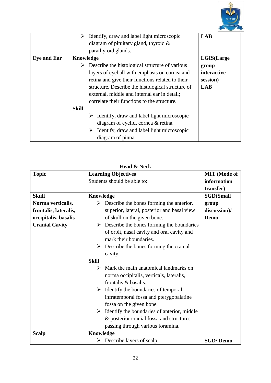

|                    | Identify, draw and label light microscopic                  | <b>LAB</b>  |
|--------------------|-------------------------------------------------------------|-------------|
|                    | diagram of pituitary gland, thyroid $\&$                    |             |
|                    | parathyroid glands.                                         |             |
| <b>Eye and Ear</b> | Knowledge                                                   | LGIS(Large  |
|                    | Describe the histological structure of various              | group       |
|                    | layers of eyeball with emphasis on cornea and               | interactive |
|                    | retina and give their functions related to their            | session)    |
|                    | structure. Describe the histological structure of           | <b>LAB</b>  |
|                    | external, middle and internal ear in detail;                |             |
|                    | correlate their functions to the structure.                 |             |
|                    | <b>Skill</b>                                                |             |
|                    | $\triangleright$ Identify, draw and label light microscopic |             |
|                    | diagram of eyelid, cornea & retina.                         |             |
|                    | Identify, draw and label light microscopic<br>➤             |             |
|                    | diagram of pinna.                                           |             |

| <b>Head &amp; Neck</b> |                                                                                                                                                                                                                                                                   |                     |  |  |  |
|------------------------|-------------------------------------------------------------------------------------------------------------------------------------------------------------------------------------------------------------------------------------------------------------------|---------------------|--|--|--|
| <b>Topic</b>           | <b>Learning Objectives</b>                                                                                                                                                                                                                                        | <b>MIT</b> (Mode of |  |  |  |
|                        | Students should be able to:                                                                                                                                                                                                                                       | information         |  |  |  |
|                        |                                                                                                                                                                                                                                                                   | transfer)           |  |  |  |
| <b>Skull</b>           | <b>Knowledge</b>                                                                                                                                                                                                                                                  | <b>SGD(Small</b>    |  |  |  |
| Norma verticalis,      | $\triangleright$ Describe the bones forming the anterior,                                                                                                                                                                                                         | group               |  |  |  |
| frontalis, lateralis,  | superior, lateral, posterior and basal view                                                                                                                                                                                                                       | discussion)/        |  |  |  |
| occipitalis, basalis   | of skull on the given bone.                                                                                                                                                                                                                                       | Demo                |  |  |  |
| <b>Cranial Cavity</b>  | Describe the bones forming the boundaries<br>➤<br>of orbit, nasal cavity and oral cavity and<br>mark their boundaries.                                                                                                                                            |                     |  |  |  |
|                        | $\triangleright$ Describe the bones forming the cranial<br>cavity.                                                                                                                                                                                                |                     |  |  |  |
|                        | <b>Skill</b>                                                                                                                                                                                                                                                      |                     |  |  |  |
|                        | Mark the main anatomical landmarks on<br>➤<br>norma occipitalis, verticals, lateralis,<br>frontalis & basalis.                                                                                                                                                    |                     |  |  |  |
|                        | $\triangleright$ Identify the boundaries of temporal,<br>infratemporal fossa and pterygopalatine<br>fossa on the given bone.<br>Identify the boundaries of anterior, middle<br>➤<br>& posterior cranial fossa and structures<br>passing through various foramina. |                     |  |  |  |
| <b>Scalp</b>           | <b>Knowledge</b>                                                                                                                                                                                                                                                  |                     |  |  |  |
|                        | $\triangleright$ Describe layers of scalp.                                                                                                                                                                                                                        | <b>SGD/Demo</b>     |  |  |  |

**Head AT 1**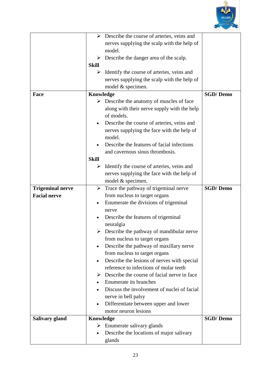

|                         |              | $\triangleright$ Describe the course of arteries, veins and |                 |
|-------------------------|--------------|-------------------------------------------------------------|-----------------|
|                         |              | nerves supplying the scalp with the help of                 |                 |
|                         |              | model.                                                      |                 |
|                         | ➤            | Describe the danger area of the scalp.                      |                 |
|                         | <b>Skill</b> |                                                             |                 |
|                         |              |                                                             |                 |
|                         | ➤            | Identify the course of arteries, veins and                  |                 |
|                         |              | nerves supplying the scalp with the help of                 |                 |
|                         |              | model & specimen.                                           |                 |
| Face                    | Knowledge    |                                                             | <b>SGD/Demo</b> |
|                         |              | $\triangleright$ Describe the anatomy of muscles of face    |                 |
|                         |              | along with their nerve supply with the help                 |                 |
|                         |              | of models.                                                  |                 |
|                         | $\bullet$    | Describe the course of arteries, veins and                  |                 |
|                         |              | nerves supplying the face with the help of                  |                 |
|                         |              | model.                                                      |                 |
|                         |              | Describe the features of facial infections                  |                 |
|                         |              | and cavernous sinus thrombosis.                             |                 |
|                         | <b>Skill</b> |                                                             |                 |
|                         | ➤            | Identify the course of arteries, veins and                  |                 |
|                         |              | nerves supplying the face with the help of                  |                 |
|                         |              | model & specimen.                                           |                 |
| <b>Trigeminal nerve</b> | ➤            | Trace the pathway of trigeminal nerve                       | <b>SGD/Demo</b> |
| <b>Facial nerve</b>     |              | from nucleus to target organs                               |                 |
|                         | $\bullet$    | Enumerate the divisions of trigeminal                       |                 |
|                         |              | nerve                                                       |                 |
|                         |              | Describe the features of trigeminal                         |                 |
|                         |              | neuralgia                                                   |                 |
|                         |              | $\triangleright$ Describe the pathway of mandibular nerve   |                 |
|                         |              | from nucleus to target organs                               |                 |
|                         |              | Describe the pathway of maxillary nerve                     |                 |
|                         |              | from nucleus to target organs                               |                 |
|                         | $\bullet$    | Describe the lesions of nerves with special                 |                 |
|                         |              | reference to infections of molar teeth                      |                 |
|                         | ➤            | Describe the course of facial nerve in face                 |                 |
|                         | $\bullet$    | Enumerate its branches                                      |                 |
|                         |              | Discuss the involvement of nuclei of facial                 |                 |
|                         |              | nerve in bell palsy                                         |                 |
|                         | $\bullet$    | Differentiate between upper and lower                       |                 |
|                         |              | motor neuron lesions                                        |                 |
| Salivary gland          | Knowledge    |                                                             | <b>SGD/Demo</b> |
|                         | ➤            | Enumerate salivary glands                                   |                 |
|                         |              | Describe the locations of major salivary                    |                 |
|                         |              | glands                                                      |                 |
|                         |              |                                                             |                 |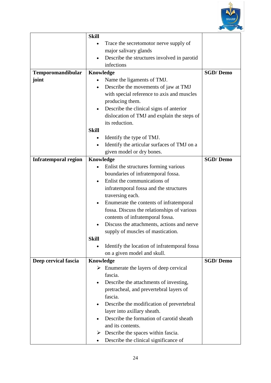

|                             | <b>Skill</b> |                                                        |                 |
|-----------------------------|--------------|--------------------------------------------------------|-----------------|
|                             |              | Trace the secretomotor nerve supply of                 |                 |
|                             |              | major salivary glands                                  |                 |
|                             |              | Describe the structures involved in parotid            |                 |
|                             |              | infections                                             |                 |
| Temporomandibular           | Knowledge    |                                                        | <b>SGD/Demo</b> |
| joint                       |              | Name the ligaments of TMJ.                             |                 |
|                             | $\bullet$    | Describe the movements of jaw at TMJ                   |                 |
|                             |              | with special reference to axis and muscles             |                 |
|                             |              | producing them.                                        |                 |
|                             | $\bullet$    | Describe the clinical signs of anterior                |                 |
|                             |              | dislocation of TMJ and explain the steps of            |                 |
|                             |              | its reduction.                                         |                 |
|                             | <b>Skill</b> |                                                        |                 |
|                             | $\bullet$    | Identify the type of TMJ.                              |                 |
|                             |              | Identify the articular surfaces of TMJ on a            |                 |
|                             |              | given model or dry bones.                              |                 |
| <b>Infratemporal region</b> | Knowledge    |                                                        | <b>SGD/Demo</b> |
|                             |              | Enlist the structures forming various                  |                 |
|                             |              | boundaries of infratemporal fossa.                     |                 |
|                             |              | Enlist the communications of                           |                 |
|                             |              | infratemporal fossa and the structures                 |                 |
|                             |              | traversing each.                                       |                 |
|                             |              | Enumerate the contents of infratemporal                |                 |
|                             |              | fossa. Discuss the relationships of various            |                 |
|                             |              | contents of infratemporal fossa.                       |                 |
|                             |              | Discuss the attachments, actions and nerve             |                 |
|                             |              | supply of muscles of mastication.                      |                 |
|                             | Skill        |                                                        |                 |
|                             |              | Identify the location of infratemporal fossa           |                 |
|                             |              | on a given model and skull.                            |                 |
| Deep cervical fascia        | Knowledge    |                                                        | <b>SGD/Demo</b> |
|                             |              | $\triangleright$ Enumerate the layers of deep cervical |                 |
|                             |              | fascia.                                                |                 |
|                             |              | Describe the attachments of investing,                 |                 |
|                             |              | pretracheal, and prevertebral layers of                |                 |
|                             |              | fascia.                                                |                 |
|                             |              | Describe the modification of prevertebral              |                 |
|                             |              | layer into axillary sheath.                            |                 |
|                             |              | Describe the formation of carotid sheath               |                 |
|                             |              | and its contents.                                      |                 |
|                             | ➤            | Describe the spaces within fascia.                     |                 |
|                             |              | Describe the clinical significance of                  |                 |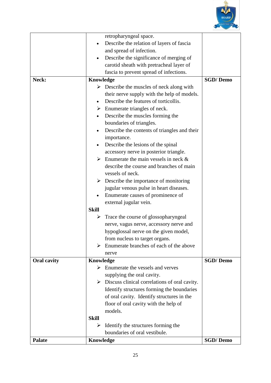

|                    |              | retropharyngeal space.                                         |                 |
|--------------------|--------------|----------------------------------------------------------------|-----------------|
|                    |              | Describe the relation of layers of fascia                      |                 |
|                    |              | and spread of infection.                                       |                 |
|                    | $\bullet$    | Describe the significance of merging of                        |                 |
|                    |              | carotid sheath with pretracheal layer of                       |                 |
|                    |              |                                                                |                 |
|                    |              | fascia to prevent spread of infections.                        |                 |
| Neck:              | Knowledge    |                                                                | <b>SGD/Demo</b> |
|                    |              | $\triangleright$ Describe the muscles of neck along with       |                 |
|                    |              | their nerve supply with the help of models.                    |                 |
|                    | $\bullet$    | Describe the features of torticollis.                          |                 |
|                    |              | $\triangleright$ Enumerate triangles of neck.                  |                 |
|                    |              | Describe the muscles forming the                               |                 |
|                    |              | boundaries of triangles.                                       |                 |
|                    |              | Describe the contents of triangles and their                   |                 |
|                    |              | importance.                                                    |                 |
|                    |              | Describe the lesions of the spinal                             |                 |
|                    |              | accessory nerve in posterior triangle.                         |                 |
|                    |              | $\triangleright$ Enumerate the main vessels in neck &          |                 |
|                    |              | describe the course and branches of main                       |                 |
|                    |              | vessels of neck.                                               |                 |
|                    |              | $\triangleright$ Describe the importance of monitoring         |                 |
|                    |              | jugular venous pulse in heart diseases.                        |                 |
|                    |              | Enumerate causes of prominence of                              |                 |
|                    |              | external jugular vein.                                         |                 |
|                    | <b>Skill</b> |                                                                |                 |
|                    | ➤            | Trace the course of glossopharyngeal                           |                 |
|                    |              | nerve, vagus nerve, accessory nerve and                        |                 |
|                    |              | hypoglossal nerve on the given model,                          |                 |
|                    |              | from nucleus to target organs.                                 |                 |
|                    | ≻            | Enumerate branches of each of the above                        |                 |
|                    |              | nerve                                                          |                 |
| <b>Oral cavity</b> | Knowledge    |                                                                | <b>SGD/Demo</b> |
|                    |              | $\triangleright$ Enumerate the vessels and verves              |                 |
|                    |              | supplying the oral cavity.                                     |                 |
|                    |              | $\triangleright$ Discuss clinical correlations of oral cavity. |                 |
|                    |              | Identify structures forming the boundaries                     |                 |
|                    |              | of oral cavity. Identify structures in the                     |                 |
|                    |              | floor of oral cavity with the help of                          |                 |
|                    |              | models.                                                        |                 |
|                    | <b>Skill</b> |                                                                |                 |
|                    | ➤            | Identify the structures forming the                            |                 |
|                    |              | boundaries of oral vestibule.                                  |                 |
| <b>Palate</b>      | Knowledge    |                                                                | <b>SGD/Demo</b> |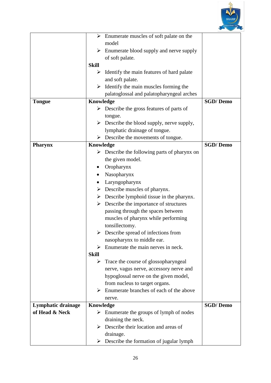

|                    | $\blacktriangleright$ | Enumerate muscles of soft palate on the                     |                 |
|--------------------|-----------------------|-------------------------------------------------------------|-----------------|
|                    |                       | model                                                       |                 |
|                    | ➤                     | Enumerate blood supply and nerve supply                     |                 |
|                    |                       | of soft palate.                                             |                 |
|                    | <b>Skill</b>          |                                                             |                 |
|                    | ➤                     | Identify the main features of hard palate                   |                 |
|                    |                       | and soft palate.                                            |                 |
|                    | ➤                     |                                                             |                 |
|                    |                       | Identify the main muscles forming the                       |                 |
|                    |                       | palatoglossal and palatopharyngeal arches                   |                 |
| <b>Tongue</b>      | Knowledge             |                                                             | <b>SGD/Demo</b> |
|                    |                       | $\triangleright$ Describe the gross features of parts of    |                 |
|                    |                       | tongue.                                                     |                 |
|                    |                       | $\triangleright$ Describe the blood supply, nerve supply,   |                 |
|                    |                       | lymphatic drainage of tongue.                               |                 |
|                    | ➤                     | Describe the movements of tongue.                           |                 |
| <b>Pharynx</b>     | Knowledge             |                                                             | <b>SGD/Demo</b> |
|                    |                       | $\triangleright$ Describe the following parts of pharynx on |                 |
|                    |                       | the given model.                                            |                 |
|                    |                       | Oropharynx                                                  |                 |
|                    |                       | Nasopharynx                                                 |                 |
|                    |                       | Laryngopharynx                                              |                 |
|                    | ➤                     | Describe muscles of pharynx.                                |                 |
|                    | ≻                     | Describe lymphoid tissue in the pharynx.                    |                 |
|                    | $\blacktriangleright$ | Describe the importance of structures                       |                 |
|                    |                       | passing through the spaces between                          |                 |
|                    |                       | muscles of pharynx while performing                         |                 |
|                    |                       | tonsillectomy.                                              |                 |
|                    |                       | $\triangleright$ Describe spread of infections from         |                 |
|                    |                       | nasopharynx to middle ear.                                  |                 |
|                    | ≻                     | Enumerate the main nerves in neck.                          |                 |
|                    | <b>Skill</b>          |                                                             |                 |
|                    | ➤                     | Trace the course of glossopharyngeal                        |                 |
|                    |                       | nerve, vagus nerve, accessory nerve and                     |                 |
|                    |                       | hypoglossal nerve on the given model,                       |                 |
|                    |                       | from nucleus to target organs.                              |                 |
|                    | ➤                     | Enumerate branches of each of the above                     |                 |
|                    |                       | nerve.                                                      |                 |
| Lymphatic drainage | Knowledge             |                                                             | <b>SGD/Demo</b> |
| of Head & Neck     |                       | $\triangleright$ Enumerate the groups of lymph of nodes     |                 |
|                    |                       | draining the neck.                                          |                 |
|                    | ➤                     | Describe their location and areas of                        |                 |
|                    |                       | drainage.                                                   |                 |
|                    | ➤                     | Describe the formation of jugular lymph                     |                 |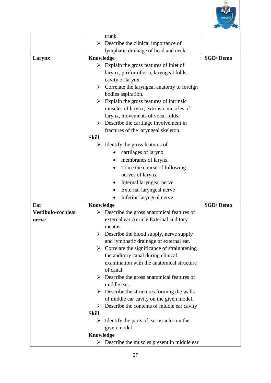

|                             |              | trunk.                                                                                              |                 |
|-----------------------------|--------------|-----------------------------------------------------------------------------------------------------|-----------------|
|                             | ➤            | Describe the clinical importance of                                                                 |                 |
|                             |              | lymphatic drainage of head and neck.                                                                |                 |
| Larynx                      | Knowledge    |                                                                                                     | <b>SGD/Demo</b> |
|                             |              | $\triangleright$ Explain the gross features of inlet of                                             |                 |
|                             |              | larynx, piriformfossa, laryngeal folds,                                                             |                 |
|                             |              | cavity of larynx.                                                                                   |                 |
|                             |              | $\triangleright$ Correlate the laryngeal anatomy to foreign                                         |                 |
|                             |              | bodies aspiration.                                                                                  |                 |
|                             | ➤            | Explain the gross features of intrinsic                                                             |                 |
|                             |              | muscles of larynx, extrinsic muscles of                                                             |                 |
|                             |              | larynx, movements of vocal folds.                                                                   |                 |
|                             | ➤            | Describe the cartilage involvement in                                                               |                 |
|                             |              | fractures of the laryngeal skeleton.                                                                |                 |
|                             | <b>Skill</b> |                                                                                                     |                 |
|                             | ➤            | Identify the gross features of                                                                      |                 |
|                             |              | cartilages of larynx                                                                                |                 |
|                             |              | membranes of larynx                                                                                 |                 |
|                             |              | Trace the course of following                                                                       |                 |
|                             |              | nerves of larynx                                                                                    |                 |
|                             |              | Internal laryngeal nerve                                                                            |                 |
|                             |              | External laryngeal nerve                                                                            |                 |
|                             |              |                                                                                                     |                 |
|                             |              | $\bullet$                                                                                           |                 |
| Ear                         |              | Inferior laryngeal nerve                                                                            |                 |
|                             | Knowledge    |                                                                                                     | <b>SGD/Demo</b> |
| Vestibulo-cochlear<br>nerve |              | $\triangleright$ Describe the gross anatomical features of                                          |                 |
|                             |              | external ear Auricle External auditory<br>meatus.                                                   |                 |
|                             |              |                                                                                                     |                 |
|                             |              | $\triangleright$ Describe the blood supply, nerve supply<br>and lymphatic drainage of external ear. |                 |
|                             |              |                                                                                                     |                 |
|                             |              | $\triangleright$ Correlate the significance of straightening<br>the auditory canal during clinical  |                 |
|                             |              | examination with the anatomical structure                                                           |                 |
|                             |              | of canal.                                                                                           |                 |
|                             |              | $\triangleright$ Describe the gross anatomical features of                                          |                 |
|                             |              | middle ear.                                                                                         |                 |
|                             |              | $\triangleright$ Describe the structures forming the walls                                          |                 |
|                             |              | of middle ear cavity on the given model.                                                            |                 |
|                             | ➤            | Describe the contents of middle ear cavity                                                          |                 |
|                             | <b>Skill</b> |                                                                                                     |                 |
|                             | ➤            | Identify the parts of ear ossicles on the                                                           |                 |
|                             |              | given model                                                                                         |                 |
|                             | Knowledge    |                                                                                                     |                 |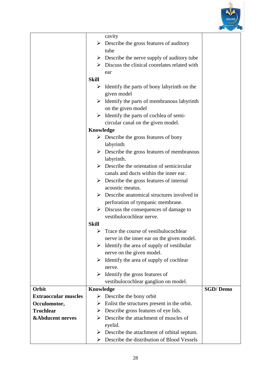

|                             |                  | cavity                                                       |                 |
|-----------------------------|------------------|--------------------------------------------------------------|-----------------|
|                             |                  | $\triangleright$ Describe the gross features of auditory     |                 |
|                             |                  | tube                                                         |                 |
|                             |                  | $\triangleright$ Describe the nerve supply of auditory tube  |                 |
|                             |                  | $\triangleright$ Discuss the clinical coordates related with |                 |
|                             |                  | ear                                                          |                 |
|                             | <b>Skill</b>     |                                                              |                 |
|                             |                  | $\triangleright$ Identify the parts of bony labyrinth on the |                 |
|                             |                  | given model                                                  |                 |
|                             |                  | $\triangleright$ Identify the parts of membranous labyrinth  |                 |
|                             |                  | on the given model                                           |                 |
|                             |                  | $\triangleright$ Identify the parts of cochlea of semi-      |                 |
|                             |                  | circular canal on the given model.                           |                 |
|                             | <b>Knowledge</b> |                                                              |                 |
|                             |                  | $\triangleright$ Describe the gross features of bony         |                 |
|                             |                  | labyrinth                                                    |                 |
|                             |                  | $\triangleright$ Describe the gross features of membranous   |                 |
|                             |                  | labyrinth.                                                   |                 |
|                             |                  | $\triangleright$ Describe the orientation of semicircular    |                 |
|                             |                  | canals and ducts within the inner ear.                       |                 |
|                             |                  | $\triangleright$ Describe the gross features of internal     |                 |
|                             |                  | acoustic meatus.                                             |                 |
|                             |                  | $\triangleright$ Describe anatomical structures involved in  |                 |
|                             |                  | perforation of tympanic membrane.                            |                 |
|                             |                  | $\triangleright$ Discuss the consequences of damage to       |                 |
|                             |                  | vestibulocochlear nerve.                                     |                 |
|                             | <b>Skill</b>     |                                                              |                 |
|                             | ➤                | Trace the course of vestibulocochlear                        |                 |
|                             |                  | nerve in the inner ear on the given model.                   |                 |
|                             | ➤                | Identify the area of supply of vestibular                    |                 |
|                             |                  | nerve on the given model.                                    |                 |
|                             |                  | $\triangleright$ Identify the area of supply of cochlear     |                 |
|                             |                  | nerve.                                                       |                 |
|                             | ➤                | Identify the gross features of                               |                 |
|                             |                  | vestibulocochlear ganglion on model.                         |                 |
| Orbit                       | Knowledge        |                                                              | <b>SGD/Demo</b> |
| <b>Extraoccular muscles</b> |                  | $\triangleright$ Describe the bony orbit                     |                 |
| Occulomotor,                | ➤                | Enlist the structures present in the orbit.                  |                 |
| <b>Trochlear</b>            | ➤                | Describe gross features of eye lids.                         |                 |
| <b>&amp;Abducent nerves</b> | ➤                | Describe the attachment of muscles of                        |                 |
|                             |                  | eyelid.                                                      |                 |
|                             |                  | $\triangleright$ Describe the attachment of orbital septum.  |                 |
|                             | ➤                | Describe the distribution of Blood Vessels                   |                 |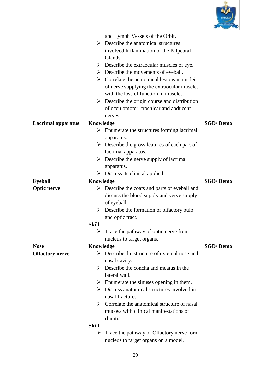

|                           |              | and Lymph Vessels of the Orbit.                                                     |                 |
|---------------------------|--------------|-------------------------------------------------------------------------------------|-----------------|
|                           | ➤            | Describe the anatomical structures                                                  |                 |
|                           |              | involved Inflammation of the Palpebral                                              |                 |
|                           |              | Glands.                                                                             |                 |
|                           |              | $\triangleright$ Describe the extraocular muscles of eye.                           |                 |
|                           |              | $\triangleright$ Describe the movements of eyeball.                                 |                 |
|                           |              | $\triangleright$ Correlate the anatomical lesions in nuclei                         |                 |
|                           |              |                                                                                     |                 |
|                           |              | of nerve supplying the extraocular muscles<br>with the loss of function in muscles. |                 |
|                           |              |                                                                                     |                 |
|                           |              | $\triangleright$ Describe the origin course and distribution                        |                 |
|                           |              | of occulomotor, trochlear and abducent                                              |                 |
|                           |              | nerves.                                                                             |                 |
| <b>Lacrimal apparatus</b> | Knowledge    |                                                                                     | <b>SGD/Demo</b> |
|                           | ➤            | Enumerate the structures forming lacrimal                                           |                 |
|                           |              | apparatus.                                                                          |                 |
|                           |              | $\triangleright$ Describe the gross features of each part of                        |                 |
|                           |              | lacrimal apparatus.                                                                 |                 |
|                           | ➤            | Describe the nerve supply of lacrimal                                               |                 |
|                           |              | apparatus.                                                                          |                 |
|                           |              | $\triangleright$ Discuss its clinical applied.                                      |                 |
| <b>Eyeball</b>            | Knowledge    |                                                                                     | <b>SGD/Demo</b> |
| <b>Optic nerve</b>        |              | $\triangleright$ Describe the coats and parts of eyeball and                        |                 |
|                           |              | discuss the blood supply and verve supply                                           |                 |
|                           |              | of eyeball.                                                                         |                 |
|                           |              | $\triangleright$ Describe the formation of olfactory bulb                           |                 |
|                           |              | and optic tract.                                                                    |                 |
|                           | <b>Skill</b> |                                                                                     |                 |
|                           | ➤            | Trace the pathway of optic nerve from                                               |                 |
|                           |              | nucleus to target organs.                                                           |                 |
| <b>Nose</b>               | Knowledge    |                                                                                     | <b>SGD/Demo</b> |
| <b>Olfactory nerve</b>    |              | $\triangleright$ Describe the structure of external nose and                        |                 |
|                           |              | nasal cavity.                                                                       |                 |
|                           |              | $\triangleright$ Describe the concha and meatus in the                              |                 |
|                           |              | lateral wall.                                                                       |                 |
|                           |              |                                                                                     |                 |
|                           |              | $\triangleright$ Enumerate the sinuses opening in them.                             |                 |
|                           |              | $\triangleright$ Discuss anatomical structures involved in                          |                 |
|                           |              | nasal fractures.                                                                    |                 |
|                           |              | $\triangleright$ Correlate the anatomical structure of nasal                        |                 |
|                           |              | mucosa with clinical manifestations of                                              |                 |
|                           |              | rhinitis.                                                                           |                 |
|                           | <b>Skill</b> |                                                                                     |                 |
|                           | ➤            | Trace the pathway of Olfactory nerve form                                           |                 |
|                           |              | nucleus to target organs on a model.                                                |                 |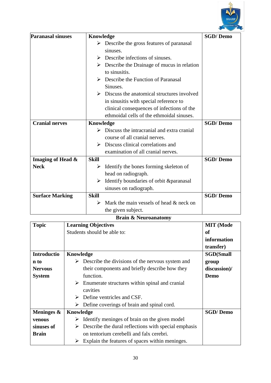

| <b>Paranasal sinuses</b> | Knowledge                                                                    | <b>SGD/Demo</b> |
|--------------------------|------------------------------------------------------------------------------|-----------------|
|                          | $\triangleright$ Describe the gross features of paranasal                    |                 |
|                          | sinuses.                                                                     |                 |
|                          | $\triangleright$ Describe infections of sinuses.                             |                 |
|                          | $\triangleright$ Describe the Drainage of mucus in relation<br>to sinusitis. |                 |
|                          | $\triangleright$ Describe the Function of Paranasal<br>Sinuses.              |                 |
|                          | $\triangleright$ Discuss the anatomical structures involved                  |                 |
|                          | in sinusitis with special reference to                                       |                 |
|                          | clinical consequences of infections of the                                   |                 |
|                          | ethmoidal cells of the ethmoidal sinuses.                                    |                 |
| <b>Cranial nerves</b>    | <b>Knowledge</b>                                                             | <b>SGD/Demo</b> |
|                          | $\triangleright$ Discuss the intracranial and extra cranial                  |                 |
|                          | course of all cranial nerves.                                                |                 |
|                          | $\triangleright$ Discuss clinical correlations and                           |                 |
|                          | examination of all cranial nerves.                                           |                 |
| Imaging of Head &        | <b>Skill</b>                                                                 | <b>SGD/Demo</b> |
| <b>Neck</b>              | Identify the bones forming skeleton of<br>➤                                  |                 |
|                          | head on radiograph.                                                          |                 |
|                          | $\triangleright$ Identify boundaries of orbit & paranasal                    |                 |
|                          | sinuses on radiograph.                                                       |                 |
| <b>Surface Marking</b>   | <b>Skill</b>                                                                 | <b>SGD/Demo</b> |
|                          | Mark the main vessels of head & neck on<br>≻                                 |                 |
|                          | the given subject.                                                           |                 |

### **Brain & Neuroanatomy**

| <b>Topic</b>       | <b>Learning Objectives</b>                                      | <b>MIT</b> (Mode |
|--------------------|-----------------------------------------------------------------|------------------|
|                    | Students should be able to:                                     | оf               |
|                    |                                                                 | information      |
|                    |                                                                 | transfer)        |
| <b>Introductio</b> | Knowledge                                                       | <b>SGD(Small</b> |
| n to               | Describe the divisions of the nervous system and<br>➤           | group            |
| <b>Nervous</b>     | their components and briefly describe how they                  | discussion)/     |
| <b>System</b>      | function.                                                       | Demo             |
|                    | $\triangleright$ Enumerate structures within spinal and cranial |                  |
|                    | cavities                                                        |                  |
|                    | Define ventricles and CSF.<br>➤                                 |                  |
|                    | Define coverings of brain and spinal cord.<br>➤                 |                  |
| Meninges &         | Knowledge                                                       | <b>SGD/Demo</b>  |
| venous             | Identify meninges of brain on the given model<br>➤              |                  |
| sinuses of         | Describe the dural reflections with special emphasis<br>➤       |                  |
| <b>Brain</b>       | on tentorium cerebelli and falx cerebri.                        |                  |
|                    | Explain the features of spaces within meninges.                 |                  |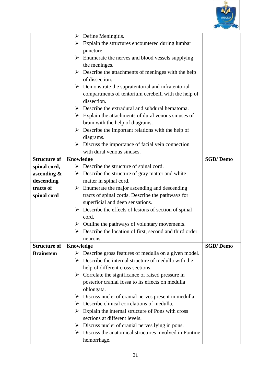

|                     | ➤         | Define Meningitis.                                                      |                 |
|---------------------|-----------|-------------------------------------------------------------------------|-----------------|
|                     | ➤         | Explain the structures encountered during lumbar                        |                 |
|                     |           | puncture                                                                |                 |
|                     |           | $\triangleright$ Enumerate the nerves and blood vessels supplying       |                 |
|                     |           | the meninges.                                                           |                 |
|                     |           | Describe the attachments of meninges with the help                      |                 |
|                     |           | of dissection.                                                          |                 |
|                     | ➤         | Demonstrate the supratentorial and infratentorial                       |                 |
|                     |           | compartments of tentorium cerebelli with the help of                    |                 |
|                     |           | dissection.                                                             |                 |
|                     |           | $\triangleright$ Describe the extradural and subdural hematoma.         |                 |
|                     |           | $\triangleright$ Explain the attachments of dural venous sinuses of     |                 |
|                     |           | brain with the help of diagrams.                                        |                 |
|                     | ➤         | Describe the important relations with the help of                       |                 |
|                     |           | diagrams.                                                               |                 |
|                     | ➤         | Discuss the importance of facial vein connection                        |                 |
|                     |           | with dural venous sinuses.                                              |                 |
| <b>Structure of</b> | Knowledge |                                                                         | <b>SGD/Demo</b> |
| spinal cord,        |           | $\triangleright$ Describe the structure of spinal cord.                 |                 |
| ascending $\&$      |           | $\triangleright$ Describe the structure of gray matter and white        |                 |
| descending          |           | matter in spinal cord.                                                  |                 |
| tracts of           |           | $\triangleright$ Enumerate the major ascending and descending           |                 |
| spinal cord         |           | tracts of spinal cords. Describe the pathways for                       |                 |
|                     |           | superficial and deep sensations.                                        |                 |
|                     |           | $\triangleright$ Describe the effects of lesions of section of spinal   |                 |
|                     |           | cord.                                                                   |                 |
|                     | ➤         | Outline the pathways of voluntary movements.                            |                 |
|                     |           | $\triangleright$ Describe the location of first, second and third order |                 |
|                     |           | neurons.                                                                |                 |
| <b>Structure of</b> | Knowledge |                                                                         | <b>SGD/Demo</b> |
| <b>Brainstem</b>    | ➤         | Describe gross features of medulla on a given model.                    |                 |
|                     | ➤         | Describe the internal structure of medulla with the                     |                 |
|                     |           | help of different cross sections.                                       |                 |
|                     |           | $\triangleright$ Correlate the significance of raised pressure in       |                 |
|                     |           | posterior cranial fossa to its effects on medulla                       |                 |
|                     |           | oblongata.                                                              |                 |
|                     |           | $\triangleright$ Discuss nuclei of cranial nerves present in medulla.   |                 |
|                     |           | $\triangleright$ Describe clinical correlations of medulla.             |                 |
|                     |           | $\triangleright$ Explain the internal structure of Pons with cross      |                 |
|                     |           | sections at different levels.                                           |                 |
|                     |           | $\triangleright$ Discuss nuclei of cranial nerves lying in pons.        |                 |
|                     |           | $\triangleright$ Discuss the anatomical structures involved in Pontine  |                 |
|                     |           | hemorrhage.                                                             |                 |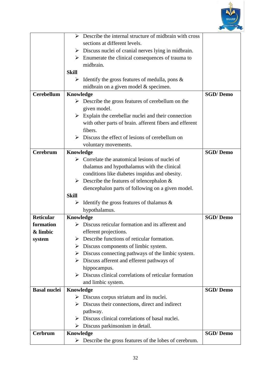

|                     | Describe the internal structure of midbrain with cross<br>➤             |                 |  |
|---------------------|-------------------------------------------------------------------------|-----------------|--|
|                     | sections at different levels.                                           |                 |  |
|                     | $\triangleright$ Discuss nuclei of cranial nerves lying in midbrain.    |                 |  |
|                     | $\triangleright$ Enumerate the clinical consequences of trauma to       |                 |  |
|                     | midbrain.                                                               |                 |  |
|                     | <b>Skill</b>                                                            |                 |  |
|                     | Identify the gross features of medulla, pons $\&$<br>➤                  |                 |  |
|                     | midbrain on a given model & specimen.                                   |                 |  |
| <b>Cerebellum</b>   | Knowledge                                                               | <b>SGD/Demo</b> |  |
|                     | $\triangleright$ Describe the gross features of cerebellum on the       |                 |  |
|                     | given model.                                                            |                 |  |
|                     | Explain the cerebellar nuclei and their connection<br>➤                 |                 |  |
|                     | with other parts of brain. afferent fibers and efferent                 |                 |  |
|                     | fibers.                                                                 |                 |  |
|                     | Discuss the effect of lesions of cerebellum on<br>$\blacktriangleright$ |                 |  |
|                     | voluntary movements.                                                    |                 |  |
| <b>Cerebrum</b>     | <b>SGD/Demo</b><br>Knowledge                                            |                 |  |
|                     | Correlate the anatomical lesions of nuclei of<br>➤                      |                 |  |
|                     | thalamus and hypothalamus with the clinical                             |                 |  |
|                     | conditions like diabetes inspidus and obesity.                          |                 |  |
|                     | Describe the features of telencephalon $\&$<br>➤                        |                 |  |
|                     | diencephalon parts of following on a given model.                       |                 |  |
|                     | <b>Skill</b>                                                            |                 |  |
|                     | Identify the gross features of thalamus $\&$<br>➤                       |                 |  |
|                     | hypothalamus.                                                           |                 |  |
| <b>Reticular</b>    | Knowledge                                                               | <b>SGD/Demo</b> |  |
| formation           | Discuss reticular formation and its afferent and                        |                 |  |
| & limbic            | efferent projections.                                                   |                 |  |
| system              | Describe functions of reticular formation.                              |                 |  |
|                     | Discuss components of limbic system.<br>➤                               |                 |  |
|                     | Discuss connecting pathways of the limbic system.<br>➤                  |                 |  |
|                     | $\triangleright$ Discuss afferent and efferent pathways of              |                 |  |
|                     | hippocampus.                                                            |                 |  |
|                     | Discuss clinical correlations of reticular formation                    |                 |  |
|                     | and limbic system.                                                      |                 |  |
| <b>Basal nuclei</b> | Knowledge                                                               | <b>SGD/Demo</b> |  |
|                     | Discuss corpus striatum and its nuclei.<br>➤                            |                 |  |
|                     | $\triangleright$ Discuss their connections, direct and indirect         |                 |  |
|                     | pathway.                                                                |                 |  |
|                     | Discuss clinical correlations of basal nuclei.<br>➤                     |                 |  |
|                     | $\triangleright$ Discuss parkinsonism in detail.                        |                 |  |
| Cerbrum             | <b>SGD/Demo</b><br>Knowledge                                            |                 |  |
|                     | Describe the gross features of the lobes of cerebrum.<br>➤              |                 |  |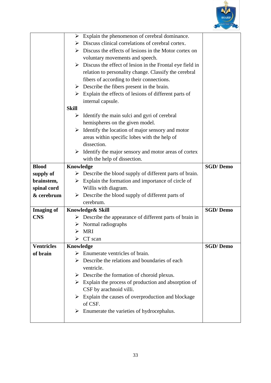

|                   | Explain the phenomenon of cerebral dominance.<br>➤                        |                 |
|-------------------|---------------------------------------------------------------------------|-----------------|
|                   | Discuss clinical correlations of cerebral cortex.<br>➤                    |                 |
|                   | $\triangleright$ Discuss the effects of lesions in the Motor cortex on    |                 |
|                   | voluntary movements and speech.                                           |                 |
|                   | $\triangleright$ Discuss the effect of lesion in the Frontal eye field in |                 |
|                   | relation to personality change. Classify the cerebral                     |                 |
|                   | fibers of according to their connections.                                 |                 |
|                   | $\triangleright$ Describe the fibers present in the brain.                |                 |
|                   | $\triangleright$ Explain the effects of lesions of different parts of     |                 |
|                   | internal capsule.                                                         |                 |
|                   | <b>Skill</b>                                                              |                 |
|                   | Identify the main sulci and gyri of cerebral<br>➤                         |                 |
|                   | hemispheres on the given model.                                           |                 |
|                   | Identify the location of major sensory and motor<br>➤                     |                 |
|                   | areas within specific lobes with the help of                              |                 |
|                   | dissection.                                                               |                 |
|                   | $\triangleright$ Identify the major sensory and motor areas of cortex     |                 |
|                   | with the help of dissection.                                              |                 |
| <b>Blood</b>      | Knowledge                                                                 | <b>SGD/Demo</b> |
| supply of         | Describe the blood supply of different parts of brain.<br>➤               |                 |
| brainstem,        | Explain the formation and importance of circle of<br>➤                    |                 |
| spinal cord       | Willis with diagram.                                                      |                 |
| & cerebrum        | Describe the blood supply of different parts of<br>➤                      |                 |
|                   | cerebrum.                                                                 |                 |
| <b>Imaging of</b> | Knowledge& Skill                                                          | <b>SGD/Demo</b> |
| <b>CNS</b>        | Describe the appearance of different parts of brain in<br>➤               |                 |
|                   | Normal radiographs                                                        |                 |
|                   | MRI<br>➤                                                                  |                 |
|                   | CT scan                                                                   |                 |
| <b>Ventricles</b> | Knowledge                                                                 | <b>SGD/Demo</b> |
| of brain          | Enumerate ventricles of brain.<br>➤                                       |                 |
|                   | Describe the relations and boundaries of each<br>➤                        |                 |
|                   | ventricle.                                                                |                 |
|                   | $\triangleright$ Describe the formation of choroid plexus.                |                 |
|                   | Explain the process of production and absorption of<br>≻                  |                 |
|                   | CSF by arachnoid villi.                                                   |                 |
|                   | $\triangleright$ Explain the causes of overproduction and blockage        |                 |
|                   | of CSF.                                                                   |                 |
|                   | Enumerate the varieties of hydrocephalus.<br>➤                            |                 |
|                   |                                                                           |                 |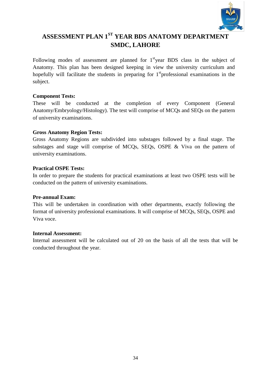

# **ASSESSMENT PLAN 1ST YEAR BDS ANATOMY DEPARTMENT SMDC, LAHORE**

Following modes of assessment are planned for  $1<sup>st</sup>$  vear BDS class in the subject of Anatomy. This plan has been designed keeping in view the university curriculum and hopefully will facilitate the students in preparing for  $1<sup>st</sup>$  professional examinations in the subject.

#### **Component Tests:**

These will be conducted at the completion of every Component (General Anatomy/Embryology/Histology). The test will comprise of MCQs and SEQs on the pattern of university examinations.

#### **Gross Anatomy Region Tests:**

Gross Anatomy Regions are subdivided into substages followed by a final stage. The substages and stage will comprise of MCQs, SEQs, OSPE & Viva on the pattern of university examinations.

#### **Practical OSPE Tests:**

In order to prepare the students for practical examinations at least two OSPE tests will be conducted on the pattern of university examinations.

#### **Pre-annual Exam:**

This will be undertaken in coordination with other departments, exactly following the format of university professional examinations. It will comprise of MCQs, SEQs, OSPE and Viva voce.

#### **Internal Assessment:**

Internal assessment will be calculated out of 20 on the basis of all the tests that will be conducted throughout the year.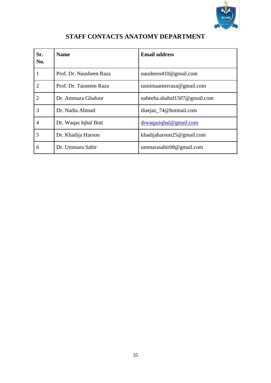

| Sr.<br>No.     | <b>Name</b>             | <b>Email address</b>          |
|----------------|-------------------------|-------------------------------|
| 1              | Prof. Dr. Nausheen Raza | nausheen410@gmail.com         |
| $\overline{2}$ | Prof. Dr. Tasneem Raza  | tasnimaamerraza@gmail.com     |
| $\overline{2}$ | Dr. Ammara Ghafoor      | nabeeha.shahid1507@gmail.com  |
| 3              | Dr. Nadia Ahmad         | diaejaz_74@hotmail.com        |
| 4              | Dr. Waqas Iqbal Butt    | drwaqasiqbal@gmail.com        |
| 5              | Dr. Khadija Haroon      | khadijaharoon $25@$ gmail.com |
| 6              | Dr. Ummara Sabir        | ummarasabir $08@$ gmail.com   |